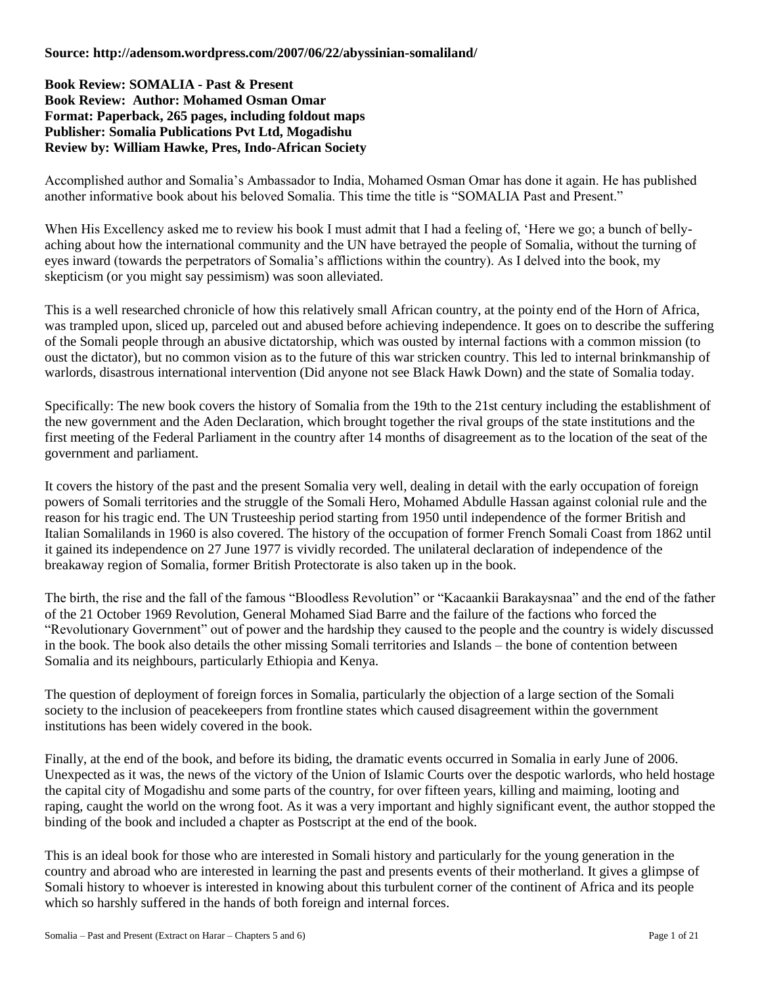### **Source: http://adensom.wordpress.com/2007/06/22/abyssinian-somaliland/**

## **Book Review: SOMALIA - Past & Present Book Review: Author: Mohamed Osman Omar Format: Paperback, 265 pages, including foldout maps Publisher: Somalia Publications Pvt Ltd, Mogadishu Review by: William Hawke, Pres, Indo-African Society**

Accomplished author and Somalia's Ambassador to India, Mohamed Osman Omar has done it again. He has published another informative book about his beloved Somalia. This time the title is "SOMALIA Past and Present."

When His Excellency asked me to review his book I must admit that I had a feeling of, 'Here we go; a bunch of bellyaching about how the international community and the UN have betrayed the people of Somalia, without the turning of eyes inward (towards the perpetrators of Somalia's afflictions within the country). As I delved into the book, my skepticism (or you might say pessimism) was soon alleviated.

This is a well researched chronicle of how this relatively small African country, at the pointy end of the Horn of Africa, was trampled upon, sliced up, parceled out and abused before achieving independence. It goes on to describe the suffering of the Somali people through an abusive dictatorship, which was ousted by internal factions with a common mission (to oust the dictator), but no common vision as to the future of this war stricken country. This led to internal brinkmanship of warlords, disastrous international intervention (Did anyone not see Black Hawk Down) and the state of Somalia today.

Specifically: The new book covers the history of Somalia from the 19th to the 21st century including the establishment of the new government and the Aden Declaration, which brought together the rival groups of the state institutions and the first meeting of the Federal Parliament in the country after 14 months of disagreement as to the location of the seat of the government and parliament.

It covers the history of the past and the present Somalia very well, dealing in detail with the early occupation of foreign powers of Somali territories and the struggle of the Somali Hero, Mohamed Abdulle Hassan against colonial rule and the reason for his tragic end. The UN Trusteeship period starting from 1950 until independence of the former British and Italian Somalilands in 1960 is also covered. The history of the occupation of former French Somali Coast from 1862 until it gained its independence on 27 June 1977 is vividly recorded. The unilateral declaration of independence of the breakaway region of Somalia, former British Protectorate is also taken up in the book.

The birth, the rise and the fall of the famous "Bloodless Revolution" or "Kacaankii Barakaysnaa" and the end of the father of the 21 October 1969 Revolution, General Mohamed Siad Barre and the failure of the factions who forced the "Revolutionary Government" out of power and the hardship they caused to the people and the country is widely discussed in the book. The book also details the other missing Somali territories and Islands – the bone of contention between Somalia and its neighbours, particularly Ethiopia and Kenya.

The question of deployment of foreign forces in Somalia, particularly the objection of a large section of the Somali society to the inclusion of peacekeepers from frontline states which caused disagreement within the government institutions has been widely covered in the book.

Finally, at the end of the book, and before its biding, the dramatic events occurred in Somalia in early June of 2006. Unexpected as it was, the news of the victory of the Union of Islamic Courts over the despotic warlords, who held hostage the capital city of Mogadishu and some parts of the country, for over fifteen years, killing and maiming, looting and raping, caught the world on the wrong foot. As it was a very important and highly significant event, the author stopped the binding of the book and included a chapter as Postscript at the end of the book.

This is an ideal book for those who are interested in Somali history and particularly for the young generation in the country and abroad who are interested in learning the past and presents events of their motherland. It gives a glimpse of Somali history to whoever is interested in knowing about this turbulent corner of the continent of Africa and its people which so harshly suffered in the hands of both foreign and internal forces.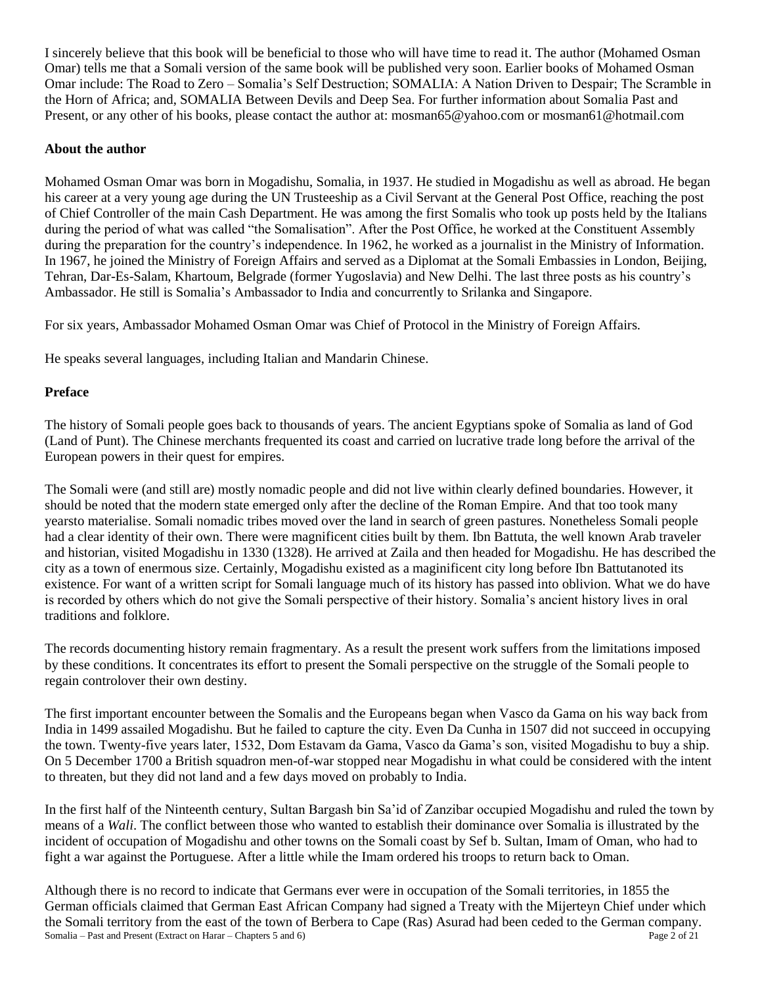I sincerely believe that this book will be beneficial to those who will have time to read it. The author (Mohamed Osman Omar) tells me that a Somali version of the same book will be published very soon. Earlier books of Mohamed Osman Omar include: The Road to Zero – Somalia's Self Destruction; SOMALIA: A Nation Driven to Despair; The Scramble in the Horn of Africa; and, SOMALIA Between Devils and Deep Sea. For further information about Somalia Past and Present, or any other of his books, please contact the author at: mosman65@yahoo.com or mosman61@hotmail.com

## **About the author**

Mohamed Osman Omar was born in Mogadishu, Somalia, in 1937. He studied in Mogadishu as well as abroad. He began his career at a very young age during the UN Trusteeship as a Civil Servant at the General Post Office, reaching the post of Chief Controller of the main Cash Department. He was among the first Somalis who took up posts held by the Italians during the period of what was called "the Somalisation". After the Post Office, he worked at the Constituent Assembly during the preparation for the country's independence. In 1962, he worked as a journalist in the Ministry of Information. In 1967, he joined the Ministry of Foreign Affairs and served as a Diplomat at the Somali Embassies in London, Beijing, Tehran, Dar-Es-Salam, Khartoum, Belgrade (former Yugoslavia) and New Delhi. The last three posts as his country's Ambassador. He still is Somalia's Ambassador to India and concurrently to Srilanka and Singapore.

For six years, Ambassador Mohamed Osman Omar was Chief of Protocol in the Ministry of Foreign Affairs.

He speaks several languages, including Italian and Mandarin Chinese.

### **Preface**

The history of Somali people goes back to thousands of years. The ancient Egyptians spoke of Somalia as land of God (Land of Punt). The Chinese merchants frequented its coast and carried on lucrative trade long before the arrival of the European powers in their quest for empires.

The Somali were (and still are) mostly nomadic people and did not live within clearly defined boundaries. However, it should be noted that the modern state emerged only after the decline of the Roman Empire. And that too took many yearsto materialise. Somali nomadic tribes moved over the land in search of green pastures. Nonetheless Somali people had a clear identity of their own. There were magnificent cities built by them. Ibn Battuta, the well known Arab traveler and historian, visited Mogadishu in 1330 (1328). He arrived at Zaila and then headed for Mogadishu. He has described the city as a town of enermous size. Certainly, Mogadishu existed as a maginificent city long before Ibn Battutanoted its existence. For want of a written script for Somali language much of its history has passed into oblivion. What we do have is recorded by others which do not give the Somali perspective of their history. Somalia's ancient history lives in oral traditions and folklore.

The records documenting history remain fragmentary. As a result the present work suffers from the limitations imposed by these conditions. It concentrates its effort to present the Somali perspective on the struggle of the Somali people to regain controlover their own destiny.

The first important encounter between the Somalis and the Europeans began when Vasco da Gama on his way back from India in 1499 assailed Mogadishu. But he failed to capture the city. Even Da Cunha in 1507 did not succeed in occupying the town. Twenty-five years later, 1532, Dom Estavam da Gama, Vasco da Gama's son, visited Mogadishu to buy a ship. On 5 December 1700 a British squadron men-of-war stopped near Mogadishu in what could be considered with the intent to threaten, but they did not land and a few days moved on probably to India.

In the first half of the Ninteenth century, Sultan Bargash bin Sa'id of Zanzibar occupied Mogadishu and ruled the town by means of a *Wali*. The conflict between those who wanted to establish their dominance over Somalia is illustrated by the incident of occupation of Mogadishu and other towns on the Somali coast by Sef b. Sultan, Imam of Oman, who had to fight a war against the Portuguese. After a little while the Imam ordered his troops to return back to Oman.

Somalia – Past and Present (Extract on Harar – Chapters 5 and 6) Page 2 of 21 Although there is no record to indicate that Germans ever were in occupation of the Somali territories, in 1855 the German officials claimed that German East African Company had signed a Treaty with the Mijerteyn Chief under which the Somali territory from the east of the town of Berbera to Cape (Ras) Asurad had been ceded to the German company.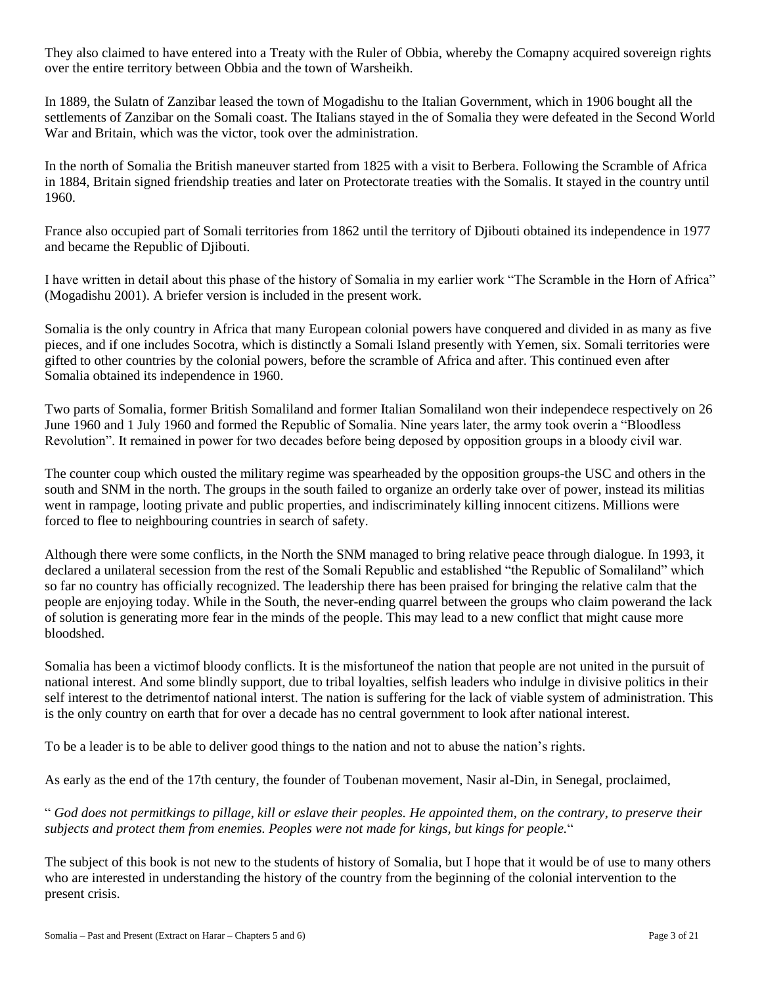They also claimed to have entered into a Treaty with the Ruler of Obbia, whereby the Comapny acquired sovereign rights over the entire territory between Obbia and the town of Warsheikh.

In 1889, the Sulatn of Zanzibar leased the town of Mogadishu to the Italian Government, which in 1906 bought all the settlements of Zanzibar on the Somali coast. The Italians stayed in the of Somalia they were defeated in the Second World War and Britain, which was the victor, took over the administration.

In the north of Somalia the British maneuver started from 1825 with a visit to Berbera. Following the Scramble of Africa in 1884, Britain signed friendship treaties and later on Protectorate treaties with the Somalis. It stayed in the country until 1960.

France also occupied part of Somali territories from 1862 until the territory of Djibouti obtained its independence in 1977 and became the Republic of Djibouti.

I have written in detail about this phase of the history of Somalia in my earlier work "The Scramble in the Horn of Africa" (Mogadishu 2001). A briefer version is included in the present work.

Somalia is the only country in Africa that many European colonial powers have conquered and divided in as many as five pieces, and if one includes Socotra, which is distinctly a Somali Island presently with Yemen, six. Somali territories were gifted to other countries by the colonial powers, before the scramble of Africa and after. This continued even after Somalia obtained its independence in 1960.

Two parts of Somalia, former British Somaliland and former Italian Somaliland won their independece respectively on 26 June 1960 and 1 July 1960 and formed the Republic of Somalia. Nine years later, the army took overin a "Bloodless Revolution". It remained in power for two decades before being deposed by opposition groups in a bloody civil war.

The counter coup which ousted the military regime was spearheaded by the opposition groups-the USC and others in the south and SNM in the north. The groups in the south failed to organize an orderly take over of power, instead its militias went in rampage, looting private and public properties, and indiscriminately killing innocent citizens. Millions were forced to flee to neighbouring countries in search of safety.

Although there were some conflicts, in the North the SNM managed to bring relative peace through dialogue. In 1993, it declared a unilateral secession from the rest of the Somali Republic and established "the Republic of Somaliland" which so far no country has officially recognized. The leadership there has been praised for bringing the relative calm that the people are enjoying today. While in the South, the never-ending quarrel between the groups who claim powerand the lack of solution is generating more fear in the minds of the people. This may lead to a new conflict that might cause more bloodshed.

Somalia has been a victimof bloody conflicts. It is the misfortuneof the nation that people are not united in the pursuit of national interest. And some blindly support, due to tribal loyalties, selfish leaders who indulge in divisive politics in their self interest to the detrimentof national interst. The nation is suffering for the lack of viable system of administration. This is the only country on earth that for over a decade has no central government to look after national interest.

To be a leader is to be able to deliver good things to the nation and not to abuse the nation's rights.

As early as the end of the 17th century, the founder of Toubenan movement, Nasir al-Din, in Senegal, proclaimed,

― *God does not permitkings to pillage, kill or eslave their peoples. He appointed them, on the contrary, to preserve their subjects and protect them from enemies. Peoples were not made for kings, but kings for people.*―

The subject of this book is not new to the students of history of Somalia, but I hope that it would be of use to many others who are interested in understanding the history of the country from the beginning of the colonial intervention to the present crisis.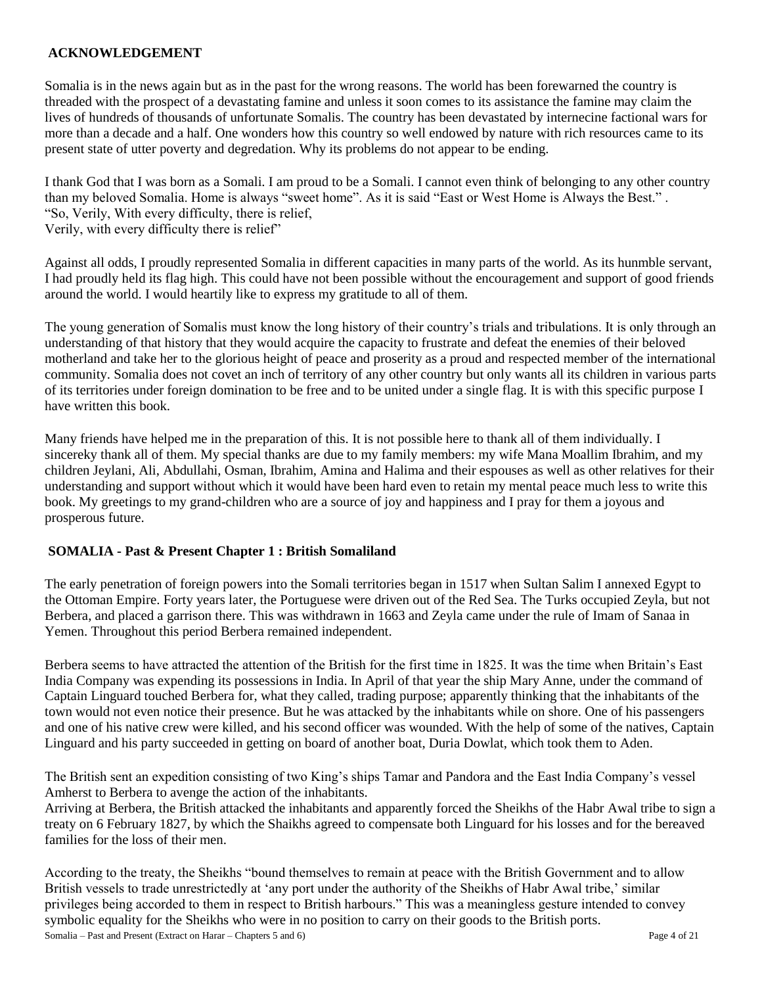### **ACKNOWLEDGEMENT**

Somalia is in the news again but as in the past for the wrong reasons. The world has been forewarned the country is threaded with the prospect of a devastating famine and unless it soon comes to its assistance the famine may claim the lives of hundreds of thousands of unfortunate Somalis. The country has been devastated by internecine factional wars for more than a decade and a half. One wonders how this country so well endowed by nature with rich resources came to its present state of utter poverty and degredation. Why its problems do not appear to be ending.

I thank God that I was born as a Somali. I am proud to be a Somali. I cannot even think of belonging to any other country than my beloved Somalia. Home is always "sweet home". As it is said "East or West Home is Always the Best.". ―So, Verily, With every difficulty, there is relief, Verily, with every difficulty there is relief"

Against all odds, I proudly represented Somalia in different capacities in many parts of the world. As its hunmble servant, I had proudly held its flag high. This could have not been possible without the encouragement and support of good friends around the world. I would heartily like to express my gratitude to all of them.

The young generation of Somalis must know the long history of their country's trials and tribulations. It is only through an understanding of that history that they would acquire the capacity to frustrate and defeat the enemies of their beloved motherland and take her to the glorious height of peace and proserity as a proud and respected member of the international community. Somalia does not covet an inch of territory of any other country but only wants all its children in various parts of its territories under foreign domination to be free and to be united under a single flag. It is with this specific purpose I have written this book.

Many friends have helped me in the preparation of this. It is not possible here to thank all of them individually. I sincereky thank all of them. My special thanks are due to my family members: my wife Mana Moallim Ibrahim, and my children Jeylani, Ali, Abdullahi, Osman, Ibrahim, Amina and Halima and their espouses as well as other relatives for their understanding and support without which it would have been hard even to retain my mental peace much less to write this book. My greetings to my grand-children who are a source of joy and happiness and I pray for them a joyous and prosperous future.

### **SOMALIA - Past & Present Chapter 1 : British Somaliland**

The early penetration of foreign powers into the Somali territories began in 1517 when Sultan Salim I annexed Egypt to the Ottoman Empire. Forty years later, the Portuguese were driven out of the Red Sea. The Turks occupied Zeyla, but not Berbera, and placed a garrison there. This was withdrawn in 1663 and Zeyla came under the rule of Imam of Sanaa in Yemen. Throughout this period Berbera remained independent.

Berbera seems to have attracted the attention of the British for the first time in 1825. It was the time when Britain's East India Company was expending its possessions in India. In April of that year the ship Mary Anne, under the command of Captain Linguard touched Berbera for, what they called, trading purpose; apparently thinking that the inhabitants of the town would not even notice their presence. But he was attacked by the inhabitants while on shore. One of his passengers and one of his native crew were killed, and his second officer was wounded. With the help of some of the natives, Captain Linguard and his party succeeded in getting on board of another boat, Duria Dowlat, which took them to Aden.

The British sent an expedition consisting of two King's ships Tamar and Pandora and the East India Company's vessel Amherst to Berbera to avenge the action of the inhabitants.

Arriving at Berbera, the British attacked the inhabitants and apparently forced the Sheikhs of the Habr Awal tribe to sign a treaty on 6 February 1827, by which the Shaikhs agreed to compensate both Linguard for his losses and for the bereaved families for the loss of their men.

Somalia – Past and Present (Extract on Harar – Chapters 5 and 6) Page 4 of 21 According to the treaty, the Sheikhs "bound themselves to remain at peace with the British Government and to allow British vessels to trade unrestrictedly at 'any port under the authority of the Sheikhs of Habr Awal tribe,' similar privileges being accorded to them in respect to British harbours." This was a meaningless gesture intended to convey symbolic equality for the Sheikhs who were in no position to carry on their goods to the British ports.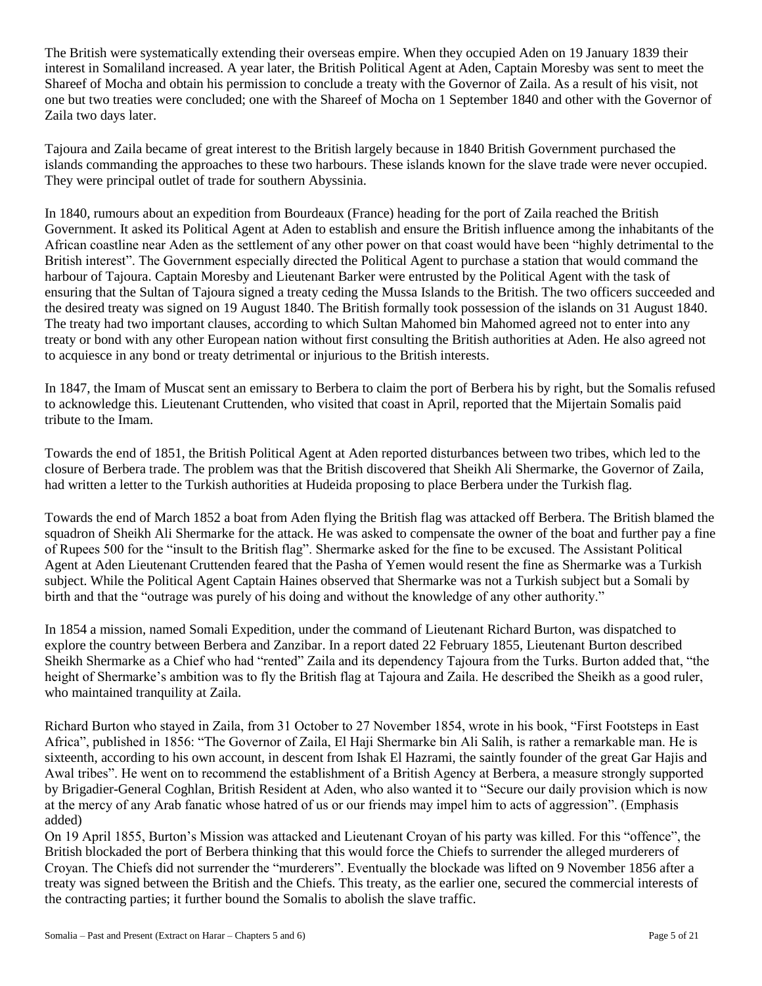The British were systematically extending their overseas empire. When they occupied Aden on 19 January 1839 their interest in Somaliland increased. A year later, the British Political Agent at Aden, Captain Moresby was sent to meet the Shareef of Mocha and obtain his permission to conclude a treaty with the Governor of Zaila. As a result of his visit, not one but two treaties were concluded; one with the Shareef of Mocha on 1 September 1840 and other with the Governor of Zaila two days later.

Tajoura and Zaila became of great interest to the British largely because in 1840 British Government purchased the islands commanding the approaches to these two harbours. These islands known for the slave trade were never occupied. They were principal outlet of trade for southern Abyssinia.

In 1840, rumours about an expedition from Bourdeaux (France) heading for the port of Zaila reached the British Government. It asked its Political Agent at Aden to establish and ensure the British influence among the inhabitants of the African coastline near Aden as the settlement of any other power on that coast would have been "highly detrimental to the British interest". The Government especially directed the Political Agent to purchase a station that would command the harbour of Tajoura. Captain Moresby and Lieutenant Barker were entrusted by the Political Agent with the task of ensuring that the Sultan of Tajoura signed a treaty ceding the Mussa Islands to the British. The two officers succeeded and the desired treaty was signed on 19 August 1840. The British formally took possession of the islands on 31 August 1840. The treaty had two important clauses, according to which Sultan Mahomed bin Mahomed agreed not to enter into any treaty or bond with any other European nation without first consulting the British authorities at Aden. He also agreed not to acquiesce in any bond or treaty detrimental or injurious to the British interests.

In 1847, the Imam of Muscat sent an emissary to Berbera to claim the port of Berbera his by right, but the Somalis refused to acknowledge this. Lieutenant Cruttenden, who visited that coast in April, reported that the Mijertain Somalis paid tribute to the Imam.

Towards the end of 1851, the British Political Agent at Aden reported disturbances between two tribes, which led to the closure of Berbera trade. The problem was that the British discovered that Sheikh Ali Shermarke, the Governor of Zaila, had written a letter to the Turkish authorities at Hudeida proposing to place Berbera under the Turkish flag.

Towards the end of March 1852 a boat from Aden flying the British flag was attacked off Berbera. The British blamed the squadron of Sheikh Ali Shermarke for the attack. He was asked to compensate the owner of the boat and further pay a fine of Rupees 500 for the "insult to the British flag". Shermarke asked for the fine to be excused. The Assistant Political Agent at Aden Lieutenant Cruttenden feared that the Pasha of Yemen would resent the fine as Shermarke was a Turkish subject. While the Political Agent Captain Haines observed that Shermarke was not a Turkish subject but a Somali by birth and that the "outrage was purely of his doing and without the knowledge of any other authority."

In 1854 a mission, named Somali Expedition, under the command of Lieutenant Richard Burton, was dispatched to explore the country between Berbera and Zanzibar. In a report dated 22 February 1855, Lieutenant Burton described Sheikh Shermarke as a Chief who had "rented" Zaila and its dependency Tajoura from the Turks. Burton added that, "the height of Shermarke's ambition was to fly the British flag at Tajoura and Zaila. He described the Sheikh as a good ruler, who maintained tranquility at Zaila.

Richard Burton who stayed in Zaila, from 31 October to 27 November 1854, wrote in his book, "First Footsteps in East Africa", published in 1856: "The Governor of Zaila, El Haji Shermarke bin Ali Salih, is rather a remarkable man. He is sixteenth, according to his own account, in descent from Ishak El Hazrami, the saintly founder of the great Gar Hajis and Awal tribes". He went on to recommend the establishment of a British Agency at Berbera, a measure strongly supported by Brigadier-General Coghlan, British Resident at Aden, who also wanted it to "Secure our daily provision which is now at the mercy of any Arab fanatic whose hatred of us or our friends may impel him to acts of aggression". (Emphasis added)

On 19 April 1855, Burton's Mission was attacked and Lieutenant Croyan of his party was killed. For this "offence", the British blockaded the port of Berbera thinking that this would force the Chiefs to surrender the alleged murderers of Croyan. The Chiefs did not surrender the "murderers". Eventually the blockade was lifted on 9 November 1856 after a treaty was signed between the British and the Chiefs. This treaty, as the earlier one, secured the commercial interests of the contracting parties; it further bound the Somalis to abolish the slave traffic.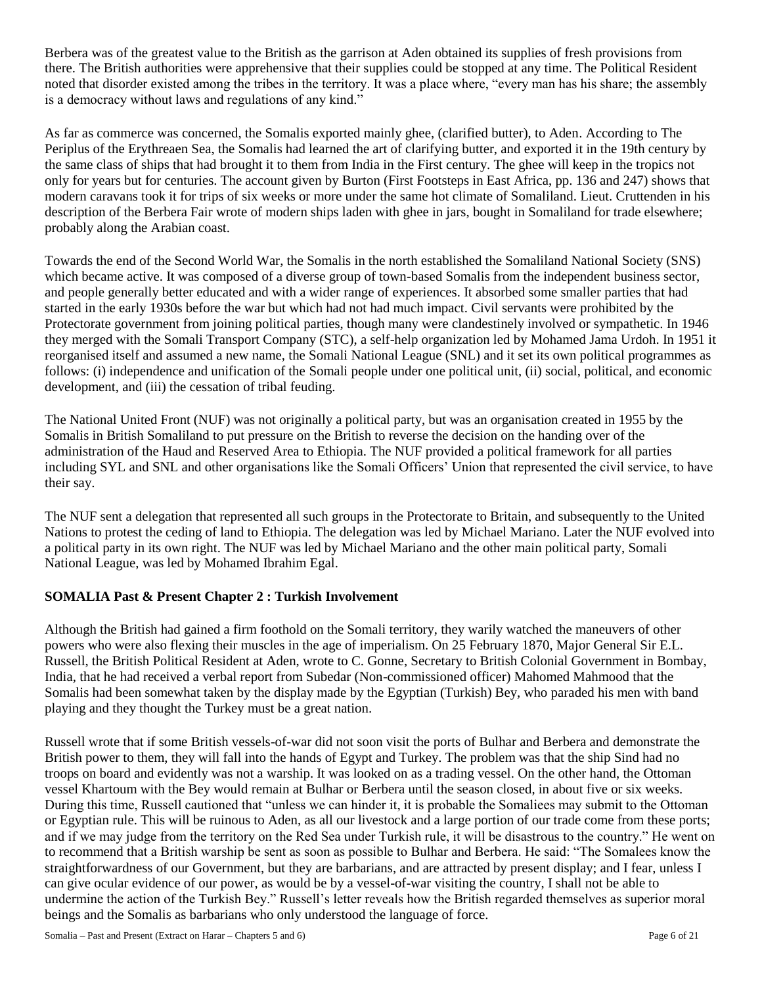Berbera was of the greatest value to the British as the garrison at Aden obtained its supplies of fresh provisions from there. The British authorities were apprehensive that their supplies could be stopped at any time. The Political Resident noted that disorder existed among the tribes in the territory. It was a place where, "every man has his share; the assembly is a democracy without laws and regulations of any kind."

As far as commerce was concerned, the Somalis exported mainly ghee, (clarified butter), to Aden. According to The Periplus of the Erythreaen Sea, the Somalis had learned the art of clarifying butter, and exported it in the 19th century by the same class of ships that had brought it to them from India in the First century. The ghee will keep in the tropics not only for years but for centuries. The account given by Burton (First Footsteps in East Africa, pp. 136 and 247) shows that modern caravans took it for trips of six weeks or more under the same hot climate of Somaliland. Lieut. Cruttenden in his description of the Berbera Fair wrote of modern ships laden with ghee in jars, bought in Somaliland for trade elsewhere; probably along the Arabian coast.

Towards the end of the Second World War, the Somalis in the north established the Somaliland National Society (SNS) which became active. It was composed of a diverse group of town-based Somalis from the independent business sector, and people generally better educated and with a wider range of experiences. It absorbed some smaller parties that had started in the early 1930s before the war but which had not had much impact. Civil servants were prohibited by the Protectorate government from joining political parties, though many were clandestinely involved or sympathetic. In 1946 they merged with the Somali Transport Company (STC), a self-help organization led by Mohamed Jama Urdoh. In 1951 it reorganised itself and assumed a new name, the Somali National League (SNL) and it set its own political programmes as follows: (i) independence and unification of the Somali people under one political unit, (ii) social, political, and economic development, and (iii) the cessation of tribal feuding.

The National United Front (NUF) was not originally a political party, but was an organisation created in 1955 by the Somalis in British Somaliland to put pressure on the British to reverse the decision on the handing over of the administration of the Haud and Reserved Area to Ethiopia. The NUF provided a political framework for all parties including SYL and SNL and other organisations like the Somali Officers' Union that represented the civil service, to have their say.

The NUF sent a delegation that represented all such groups in the Protectorate to Britain, and subsequently to the United Nations to protest the ceding of land to Ethiopia. The delegation was led by Michael Mariano. Later the NUF evolved into a political party in its own right. The NUF was led by Michael Mariano and the other main political party, Somali National League, was led by Mohamed Ibrahim Egal.

# **SOMALIA Past & Present Chapter 2 : Turkish Involvement**

Although the British had gained a firm foothold on the Somali territory, they warily watched the maneuvers of other powers who were also flexing their muscles in the age of imperialism. On 25 February 1870, Major General Sir E.L. Russell, the British Political Resident at Aden, wrote to C. Gonne, Secretary to British Colonial Government in Bombay, India, that he had received a verbal report from Subedar (Non-commissioned officer) Mahomed Mahmood that the Somalis had been somewhat taken by the display made by the Egyptian (Turkish) Bey, who paraded his men with band playing and they thought the Turkey must be a great nation.

Russell wrote that if some British vessels-of-war did not soon visit the ports of Bulhar and Berbera and demonstrate the British power to them, they will fall into the hands of Egypt and Turkey. The problem was that the ship Sind had no troops on board and evidently was not a warship. It was looked on as a trading vessel. On the other hand, the Ottoman vessel Khartoum with the Bey would remain at Bulhar or Berbera until the season closed, in about five or six weeks. During this time, Russell cautioned that "unless we can hinder it, it is probable the Somaliees may submit to the Ottoman or Egyptian rule. This will be ruinous to Aden, as all our livestock and a large portion of our trade come from these ports; and if we may judge from the territory on the Red Sea under Turkish rule, it will be disastrous to the country." He went on to recommend that a British warship be sent as soon as possible to Bulhar and Berbera. He said: "The Somalees know the straightforwardness of our Government, but they are barbarians, and are attracted by present display; and I fear, unless I can give ocular evidence of our power, as would be by a vessel-of-war visiting the country, I shall not be able to undermine the action of the Turkish Bey." Russell's letter reveals how the British regarded themselves as superior moral beings and the Somalis as barbarians who only understood the language of force.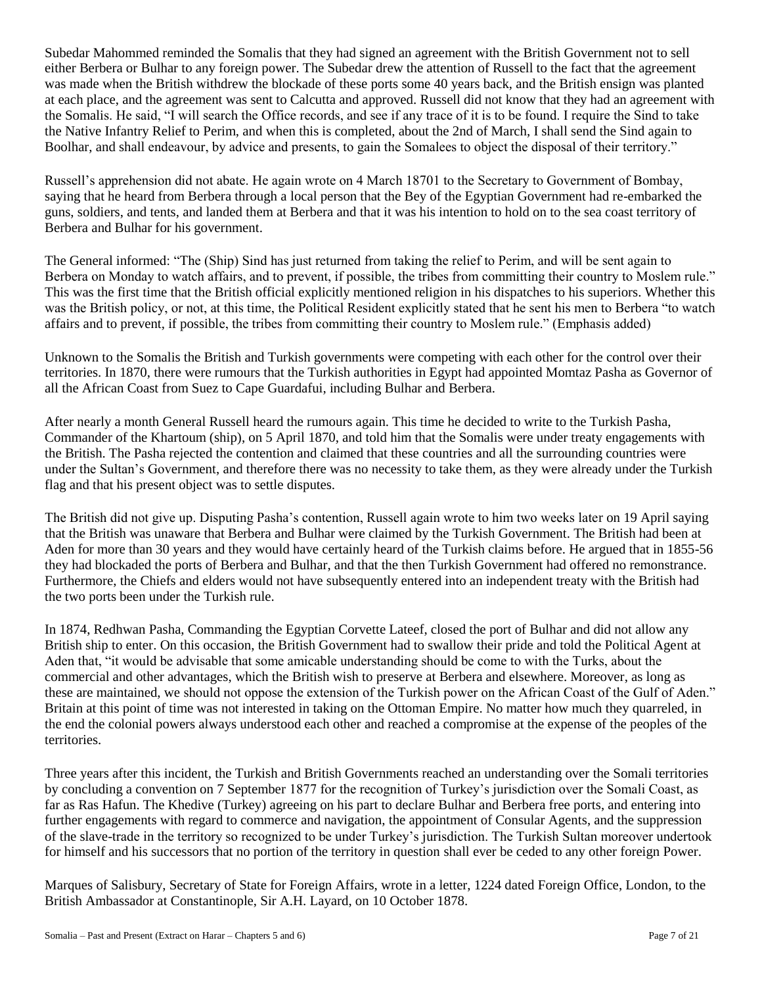Subedar Mahommed reminded the Somalis that they had signed an agreement with the British Government not to sell either Berbera or Bulhar to any foreign power. The Subedar drew the attention of Russell to the fact that the agreement was made when the British withdrew the blockade of these ports some 40 years back, and the British ensign was planted at each place, and the agreement was sent to Calcutta and approved. Russell did not know that they had an agreement with the Somalis. He said, "I will search the Office records, and see if any trace of it is to be found. I require the Sind to take the Native Infantry Relief to Perim, and when this is completed, about the 2nd of March, I shall send the Sind again to Boolhar, and shall endeavour, by advice and presents, to gain the Somalees to object the disposal of their territory."

Russell's apprehension did not abate. He again wrote on 4 March 18701 to the Secretary to Government of Bombay, saying that he heard from Berbera through a local person that the Bey of the Egyptian Government had re-embarked the guns, soldiers, and tents, and landed them at Berbera and that it was his intention to hold on to the sea coast territory of Berbera and Bulhar for his government.

The General informed: "The (Ship) Sind has just returned from taking the relief to Perim, and will be sent again to Berbera on Monday to watch affairs, and to prevent, if possible, the tribes from committing their country to Moslem rule." This was the first time that the British official explicitly mentioned religion in his dispatches to his superiors. Whether this was the British policy, or not, at this time, the Political Resident explicitly stated that he sent his men to Berbera "to watch affairs and to prevent, if possible, the tribes from committing their country to Moslem rule." (Emphasis added)

Unknown to the Somalis the British and Turkish governments were competing with each other for the control over their territories. In 1870, there were rumours that the Turkish authorities in Egypt had appointed Momtaz Pasha as Governor of all the African Coast from Suez to Cape Guardafui, including Bulhar and Berbera.

After nearly a month General Russell heard the rumours again. This time he decided to write to the Turkish Pasha, Commander of the Khartoum (ship), on 5 April 1870, and told him that the Somalis were under treaty engagements with the British. The Pasha rejected the contention and claimed that these countries and all the surrounding countries were under the Sultan's Government, and therefore there was no necessity to take them, as they were already under the Turkish flag and that his present object was to settle disputes.

The British did not give up. Disputing Pasha's contention, Russell again wrote to him two weeks later on 19 April saying that the British was unaware that Berbera and Bulhar were claimed by the Turkish Government. The British had been at Aden for more than 30 years and they would have certainly heard of the Turkish claims before. He argued that in 1855-56 they had blockaded the ports of Berbera and Bulhar, and that the then Turkish Government had offered no remonstrance. Furthermore, the Chiefs and elders would not have subsequently entered into an independent treaty with the British had the two ports been under the Turkish rule.

In 1874, Redhwan Pasha, Commanding the Egyptian Corvette Lateef, closed the port of Bulhar and did not allow any British ship to enter. On this occasion, the British Government had to swallow their pride and told the Political Agent at Aden that, "it would be advisable that some amicable understanding should be come to with the Turks, about the commercial and other advantages, which the British wish to preserve at Berbera and elsewhere. Moreover, as long as these are maintained, we should not oppose the extension of the Turkish power on the African Coast of the Gulf of Aden." Britain at this point of time was not interested in taking on the Ottoman Empire. No matter how much they quarreled, in the end the colonial powers always understood each other and reached a compromise at the expense of the peoples of the territories.

Three years after this incident, the Turkish and British Governments reached an understanding over the Somali territories by concluding a convention on 7 September 1877 for the recognition of Turkey's jurisdiction over the Somali Coast, as far as Ras Hafun. The Khedive (Turkey) agreeing on his part to declare Bulhar and Berbera free ports, and entering into further engagements with regard to commerce and navigation, the appointment of Consular Agents, and the suppression of the slave-trade in the territory so recognized to be under Turkey's jurisdiction. The Turkish Sultan moreover undertook for himself and his successors that no portion of the territory in question shall ever be ceded to any other foreign Power.

Marques of Salisbury, Secretary of State for Foreign Affairs, wrote in a letter, 1224 dated Foreign Office, London, to the British Ambassador at Constantinople, Sir A.H. Layard, on 10 October 1878.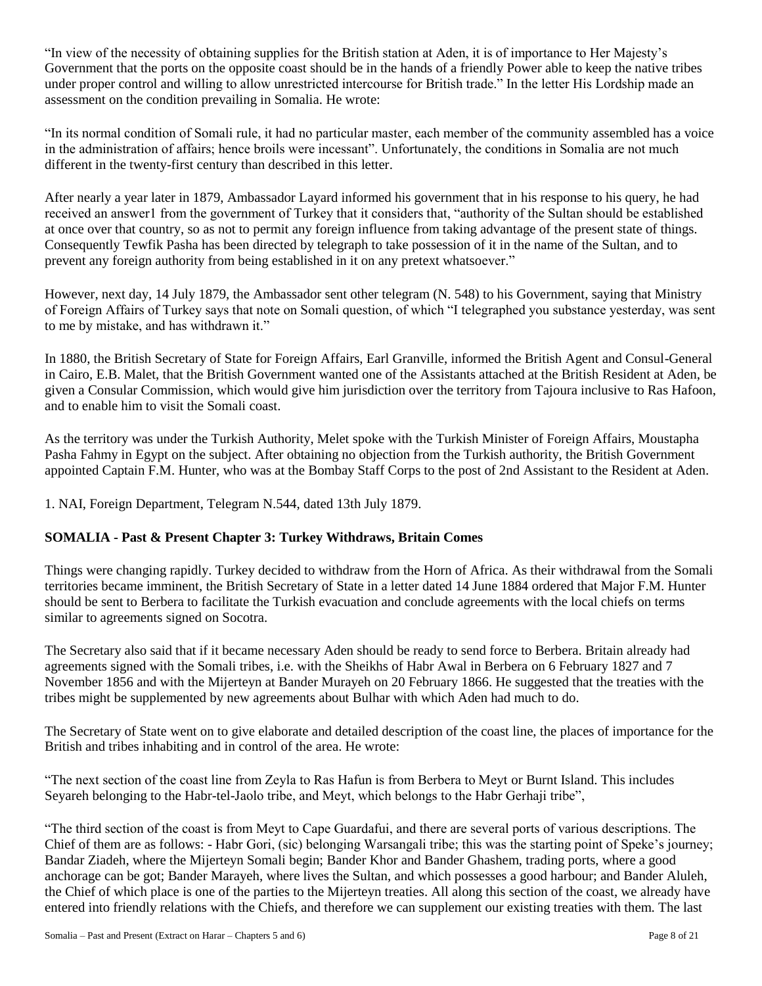―In view of the necessity of obtaining supplies for the British station at Aden, it is of importance to Her Majesty's Government that the ports on the opposite coast should be in the hands of a friendly Power able to keep the native tribes under proper control and willing to allow unrestricted intercourse for British trade." In the letter His Lordship made an assessment on the condition prevailing in Somalia. He wrote:

―In its normal condition of Somali rule, it had no particular master, each member of the community assembled has a voice in the administration of affairs; hence broils were incessant". Unfortunately, the conditions in Somalia are not much different in the twenty-first century than described in this letter.

After nearly a year later in 1879, Ambassador Layard informed his government that in his response to his query, he had received an answer1 from the government of Turkey that it considers that, "authority of the Sultan should be established at once over that country, so as not to permit any foreign influence from taking advantage of the present state of things. Consequently Tewfik Pasha has been directed by telegraph to take possession of it in the name of the Sultan, and to prevent any foreign authority from being established in it on any pretext whatsoever."

However, next day, 14 July 1879, the Ambassador sent other telegram (N. 548) to his Government, saying that Ministry of Foreign Affairs of Turkey says that note on Somali question, of which "I telegraphed you substance yesterday, was sent to me by mistake, and has withdrawn it."

In 1880, the British Secretary of State for Foreign Affairs, Earl Granville, informed the British Agent and Consul-General in Cairo, E.B. Malet, that the British Government wanted one of the Assistants attached at the British Resident at Aden, be given a Consular Commission, which would give him jurisdiction over the territory from Tajoura inclusive to Ras Hafoon, and to enable him to visit the Somali coast.

As the territory was under the Turkish Authority, Melet spoke with the Turkish Minister of Foreign Affairs, Moustapha Pasha Fahmy in Egypt on the subject. After obtaining no objection from the Turkish authority, the British Government appointed Captain F.M. Hunter, who was at the Bombay Staff Corps to the post of 2nd Assistant to the Resident at Aden.

1. NAI, Foreign Department, Telegram N.544, dated 13th July 1879.

# **SOMALIA - Past & Present Chapter 3: Turkey Withdraws, Britain Comes**

Things were changing rapidly. Turkey decided to withdraw from the Horn of Africa. As their withdrawal from the Somali territories became imminent, the British Secretary of State in a letter dated 14 June 1884 ordered that Major F.M. Hunter should be sent to Berbera to facilitate the Turkish evacuation and conclude agreements with the local chiefs on terms similar to agreements signed on Socotra.

The Secretary also said that if it became necessary Aden should be ready to send force to Berbera. Britain already had agreements signed with the Somali tribes, i.e. with the Sheikhs of Habr Awal in Berbera on 6 February 1827 and 7 November 1856 and with the Mijerteyn at Bander Murayeh on 20 February 1866. He suggested that the treaties with the tribes might be supplemented by new agreements about Bulhar with which Aden had much to do.

The Secretary of State went on to give elaborate and detailed description of the coast line, the places of importance for the British and tribes inhabiting and in control of the area. He wrote:

―The next section of the coast line from Zeyla to Ras Hafun is from Berbera to Meyt or Burnt Island. This includes Seyareh belonging to the Habr-tel-Jaolo tribe, and Meyt, which belongs to the Habr Gerhaji tribe",

―The third section of the coast is from Meyt to Cape Guardafui, and there are several ports of various descriptions. The Chief of them are as follows: - Habr Gori, (sic) belonging Warsangali tribe; this was the starting point of Speke's journey; Bandar Ziadeh, where the Mijerteyn Somali begin; Bander Khor and Bander Ghashem, trading ports, where a good anchorage can be got; Bander Marayeh, where lives the Sultan, and which possesses a good harbour; and Bander Aluleh, the Chief of which place is one of the parties to the Mijerteyn treaties. All along this section of the coast, we already have entered into friendly relations with the Chiefs, and therefore we can supplement our existing treaties with them. The last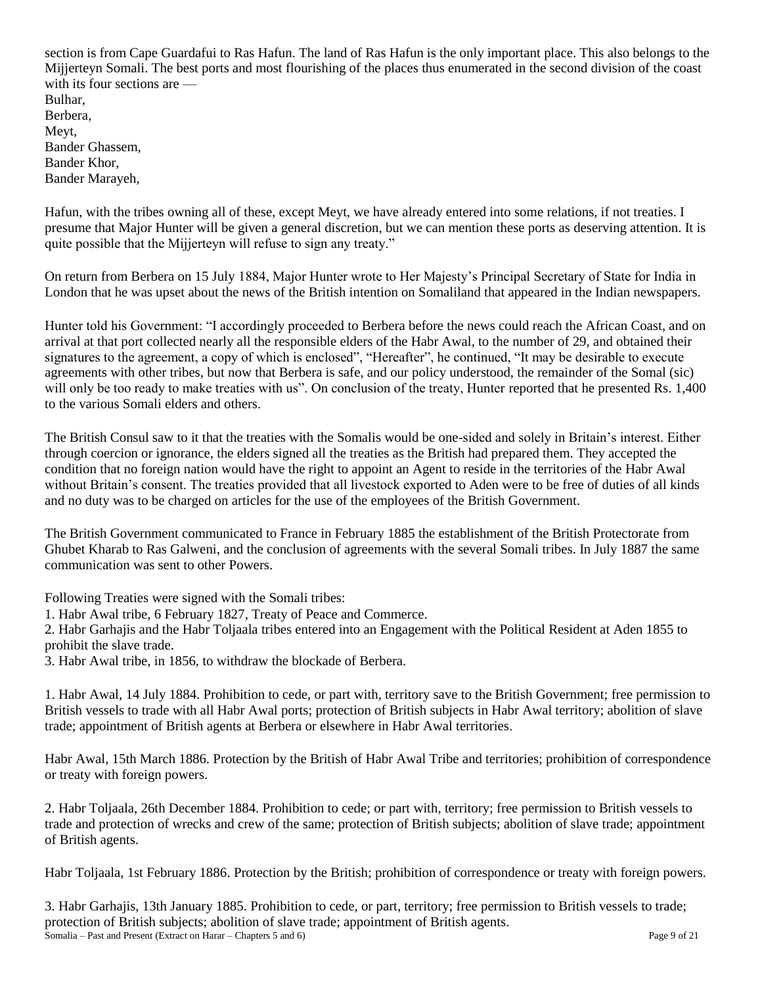section is from Cape Guardafui to Ras Hafun. The land of Ras Hafun is the only important place. This also belongs to the Mijjerteyn Somali. The best ports and most flourishing of the places thus enumerated in the second division of the coast with its four sections are — Bulhar, Berbera, Meyt, Bander Ghassem, Bander Khor, Bander Marayeh,

Hafun, with the tribes owning all of these, except Meyt, we have already entered into some relations, if not treaties. I presume that Major Hunter will be given a general discretion, but we can mention these ports as deserving attention. It is quite possible that the Mijjerteyn will refuse to sign any treaty."

On return from Berbera on 15 July 1884, Major Hunter wrote to Her Majesty's Principal Secretary of State for India in London that he was upset about the news of the British intention on Somaliland that appeared in the Indian newspapers.

Hunter told his Government: "I accordingly proceeded to Berbera before the news could reach the African Coast, and on arrival at that port collected nearly all the responsible elders of the Habr Awal, to the number of 29, and obtained their signatures to the agreement, a copy of which is enclosed", "Hereafter", he continued, "It may be desirable to execute agreements with other tribes, but now that Berbera is safe, and our policy understood, the remainder of the Somal (sic) will only be too ready to make treaties with us". On conclusion of the treaty, Hunter reported that he presented Rs. 1,400 to the various Somali elders and others.

The British Consul saw to it that the treaties with the Somalis would be one-sided and solely in Britain's interest. Either through coercion or ignorance, the elders signed all the treaties as the British had prepared them. They accepted the condition that no foreign nation would have the right to appoint an Agent to reside in the territories of the Habr Awal without Britain's consent. The treaties provided that all livestock exported to Aden were to be free of duties of all kinds and no duty was to be charged on articles for the use of the employees of the British Government.

The British Government communicated to France in February 1885 the establishment of the British Protectorate from Ghubet Kharab to Ras Galweni, and the conclusion of agreements with the several Somali tribes. In July 1887 the same communication was sent to other Powers.

Following Treaties were signed with the Somali tribes:

1. Habr Awal tribe, 6 February 1827, Treaty of Peace and Commerce.

2. Habr Garhajis and the Habr Toljaala tribes entered into an Engagement with the Political Resident at Aden 1855 to prohibit the slave trade.

3. Habr Awal tribe, in 1856, to withdraw the blockade of Berbera.

1. Habr Awal, 14 July 1884. Prohibition to cede, or part with, territory save to the British Government; free permission to British vessels to trade with all Habr Awal ports; protection of British subjects in Habr Awal territory; abolition of slave trade; appointment of British agents at Berbera or elsewhere in Habr Awal territories.

Habr Awal, 15th March 1886. Protection by the British of Habr Awal Tribe and territories; prohibition of correspondence or treaty with foreign powers.

2. Habr Toljaala, 26th December 1884. Prohibition to cede; or part with, territory; free permission to British vessels to trade and protection of wrecks and crew of the same; protection of British subjects; abolition of slave trade; appointment of British agents.

Habr Toljaala, 1st February 1886. Protection by the British; prohibition of correspondence or treaty with foreign powers.

Somalia – Past and Present (Extract on Harar – Chapters 5 and 6) Page 9 of 21 3. Habr Garhajis, 13th January 1885. Prohibition to cede, or part, territory; free permission to British vessels to trade; protection of British subjects; abolition of slave trade; appointment of British agents.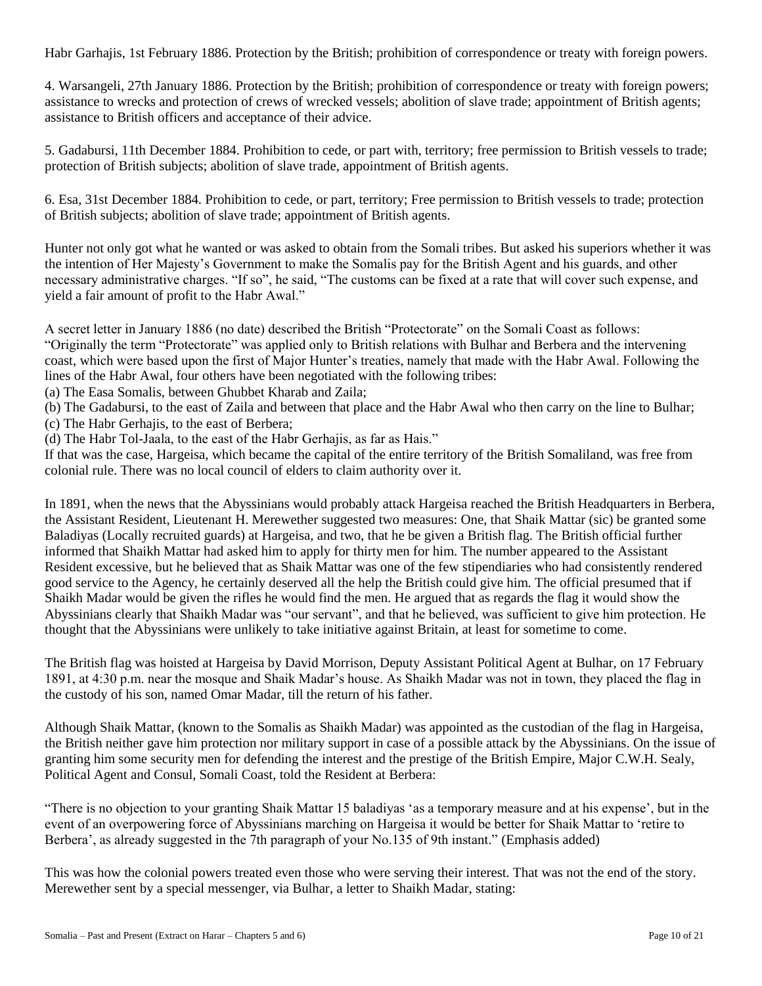Habr Garhajis, 1st February 1886. Protection by the British; prohibition of correspondence or treaty with foreign powers.

4. Warsangeli, 27th January 1886. Protection by the British; prohibition of correspondence or treaty with foreign powers; assistance to wrecks and protection of crews of wrecked vessels; abolition of slave trade; appointment of British agents; assistance to British officers and acceptance of their advice.

5. Gadabursi, 11th December 1884. Prohibition to cede, or part with, territory; free permission to British vessels to trade; protection of British subjects; abolition of slave trade, appointment of British agents.

6. Esa, 31st December 1884. Prohibition to cede, or part, territory; Free permission to British vessels to trade; protection of British subjects; abolition of slave trade; appointment of British agents.

Hunter not only got what he wanted or was asked to obtain from the Somali tribes. But asked his superiors whether it was the intention of Her Majesty's Government to make the Somalis pay for the British Agent and his guards, and other necessary administrative charges. "If so", he said, "The customs can be fixed at a rate that will cover such expense, and yield a fair amount of profit to the Habr Awal."

A secret letter in January 1886 (no date) described the British "Protectorate" on the Somali Coast as follows: ―Originally the term ―Protectorate‖ was applied only to British relations with Bulhar and Berbera and the intervening coast, which were based upon the first of Major Hunter's treaties, namely that made with the Habr Awal. Following the lines of the Habr Awal, four others have been negotiated with the following tribes:

(a) The Easa Somalis, between Ghubbet Kharab and Zaila;

(b) The Gadabursi, to the east of Zaila and between that place and the Habr Awal who then carry on the line to Bulhar;

(c) The Habr Gerhajis, to the east of Berbera;

(d) The Habr Tol-Jaala, to the east of the Habr Gerhajis, as far as Hais."

If that was the case, Hargeisa, which became the capital of the entire territory of the British Somaliland, was free from colonial rule. There was no local council of elders to claim authority over it.

In 1891, when the news that the Abyssinians would probably attack Hargeisa reached the British Headquarters in Berbera, the Assistant Resident, Lieutenant H. Merewether suggested two measures: One, that Shaik Mattar (sic) be granted some Baladiyas (Locally recruited guards) at Hargeisa, and two, that he be given a British flag. The British official further informed that Shaikh Mattar had asked him to apply for thirty men for him. The number appeared to the Assistant Resident excessive, but he believed that as Shaik Mattar was one of the few stipendiaries who had consistently rendered good service to the Agency, he certainly deserved all the help the British could give him. The official presumed that if Shaikh Madar would be given the rifles he would find the men. He argued that as regards the flag it would show the Abyssinians clearly that Shaikh Madar was "our servant", and that he believed, was sufficient to give him protection. He thought that the Abyssinians were unlikely to take initiative against Britain, at least for sometime to come.

The British flag was hoisted at Hargeisa by David Morrison, Deputy Assistant Political Agent at Bulhar, on 17 February 1891, at 4:30 p.m. near the mosque and Shaik Madar's house. As Shaikh Madar was not in town, they placed the flag in the custody of his son, named Omar Madar, till the return of his father.

Although Shaik Mattar, (known to the Somalis as Shaikh Madar) was appointed as the custodian of the flag in Hargeisa, the British neither gave him protection nor military support in case of a possible attack by the Abyssinians. On the issue of granting him some security men for defending the interest and the prestige of the British Empire, Major C.W.H. Sealy, Political Agent and Consul, Somali Coast, told the Resident at Berbera:

―There is no objection to your granting Shaik Mattar 15 baladiyas ‗as a temporary measure and at his expense', but in the event of an overpowering force of Abyssinians marching on Hargeisa it would be better for Shaik Mattar to 'retire to Berbera', as already suggested in the 7th paragraph of your No.135 of 9th instant." (Emphasis added)

This was how the colonial powers treated even those who were serving their interest. That was not the end of the story. Merewether sent by a special messenger, via Bulhar, a letter to Shaikh Madar, stating: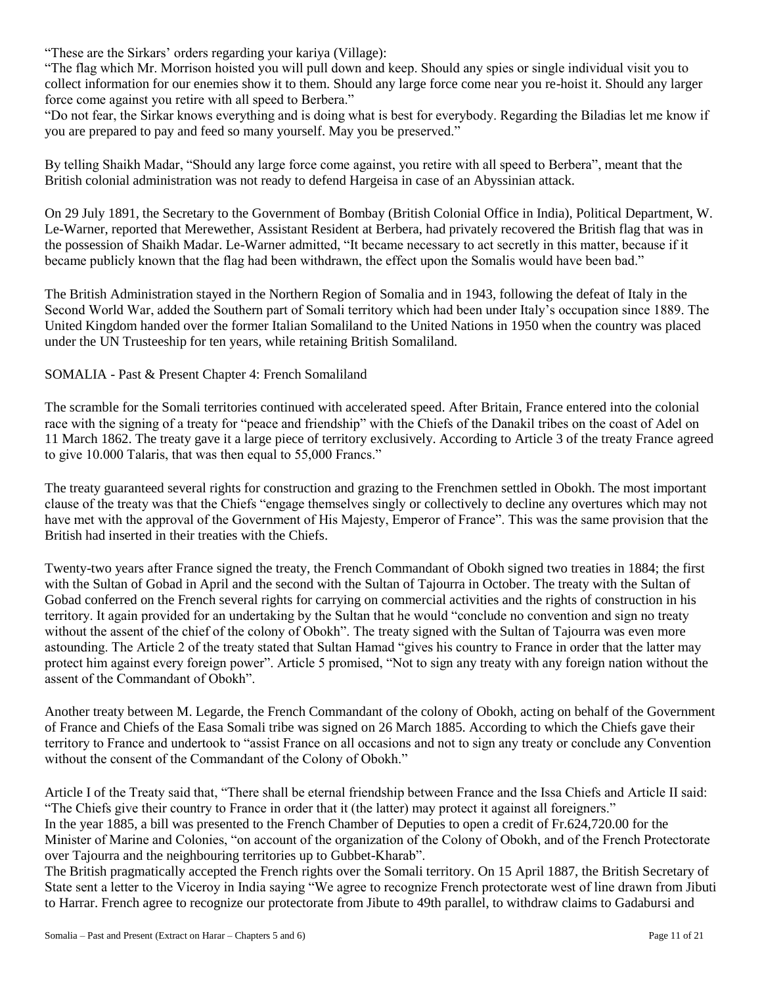―These are the Sirkars' orders regarding your kariya (Village):

―The flag which Mr. Morrison hoisted you will pull down and keep. Should any spies or single individual visit you to collect information for our enemies show it to them. Should any large force come near you re-hoist it. Should any larger force come against you retire with all speed to Berbera."

―Do not fear, the Sirkar knows everything and is doing what is best for everybody. Regarding the Biladias let me know if you are prepared to pay and feed so many yourself. May you be preserved."

By telling Shaikh Madar, "Should any large force come against, you retire with all speed to Berbera", meant that the British colonial administration was not ready to defend Hargeisa in case of an Abyssinian attack.

On 29 July 1891, the Secretary to the Government of Bombay (British Colonial Office in India), Political Department, W. Le-Warner, reported that Merewether, Assistant Resident at Berbera, had privately recovered the British flag that was in the possession of Shaikh Madar. Le-Warner admitted, "It became necessary to act secretly in this matter, because if it became publicly known that the flag had been withdrawn, the effect upon the Somalis would have been bad."

The British Administration stayed in the Northern Region of Somalia and in 1943, following the defeat of Italy in the Second World War, added the Southern part of Somali territory which had been under Italy's occupation since 1889. The United Kingdom handed over the former Italian Somaliland to the United Nations in 1950 when the country was placed under the UN Trusteeship for ten years, while retaining British Somaliland.

### SOMALIA - Past & Present Chapter 4: French Somaliland

The scramble for the Somali territories continued with accelerated speed. After Britain, France entered into the colonial race with the signing of a treaty for "peace and friendship" with the Chiefs of the Danakil tribes on the coast of Adel on 11 March 1862. The treaty gave it a large piece of territory exclusively. According to Article 3 of the treaty France agreed to give 10.000 Talaris, that was then equal to 55,000 Francs."

The treaty guaranteed several rights for construction and grazing to the Frenchmen settled in Obokh. The most important clause of the treaty was that the Chiefs "engage themselves singly or collectively to decline any overtures which may not have met with the approval of the Government of His Majesty, Emperor of France". This was the same provision that the British had inserted in their treaties with the Chiefs.

Twenty-two years after France signed the treaty, the French Commandant of Obokh signed two treaties in 1884; the first with the Sultan of Gobad in April and the second with the Sultan of Tajourra in October. The treaty with the Sultan of Gobad conferred on the French several rights for carrying on commercial activities and the rights of construction in his territory. It again provided for an undertaking by the Sultan that he would "conclude no convention and sign no treaty without the assent of the chief of the colony of Obokh". The treaty signed with the Sultan of Tajourra was even more astounding. The Article 2 of the treaty stated that Sultan Hamad "gives his country to France in order that the latter may protect him against every foreign power". Article 5 promised, "Not to sign any treaty with any foreign nation without the assent of the Commandant of Obokh".

Another treaty between M. Legarde, the French Commandant of the colony of Obokh, acting on behalf of the Government of France and Chiefs of the Easa Somali tribe was signed on 26 March 1885. According to which the Chiefs gave their territory to France and undertook to "assist France on all occasions and not to sign any treaty or conclude any Convention without the consent of the Commandant of the Colony of Obokh."

Article I of the Treaty said that, "There shall be eternal friendship between France and the Issa Chiefs and Article II said: "The Chiefs give their country to France in order that it (the latter) may protect it against all foreigners." In the year 1885, a bill was presented to the French Chamber of Deputies to open a credit of Fr.624,720.00 for the Minister of Marine and Colonies, "on account of the organization of the Colony of Obokh, and of the French Protectorate over Tajourra and the neighbouring territories up to Gubbet-Kharab".

The British pragmatically accepted the French rights over the Somali territory. On 15 April 1887, the British Secretary of State sent a letter to the Viceroy in India saying "We agree to recognize French protectorate west of line drawn from Jibuti to Harrar. French agree to recognize our protectorate from Jibute to 49th parallel, to withdraw claims to Gadabursi and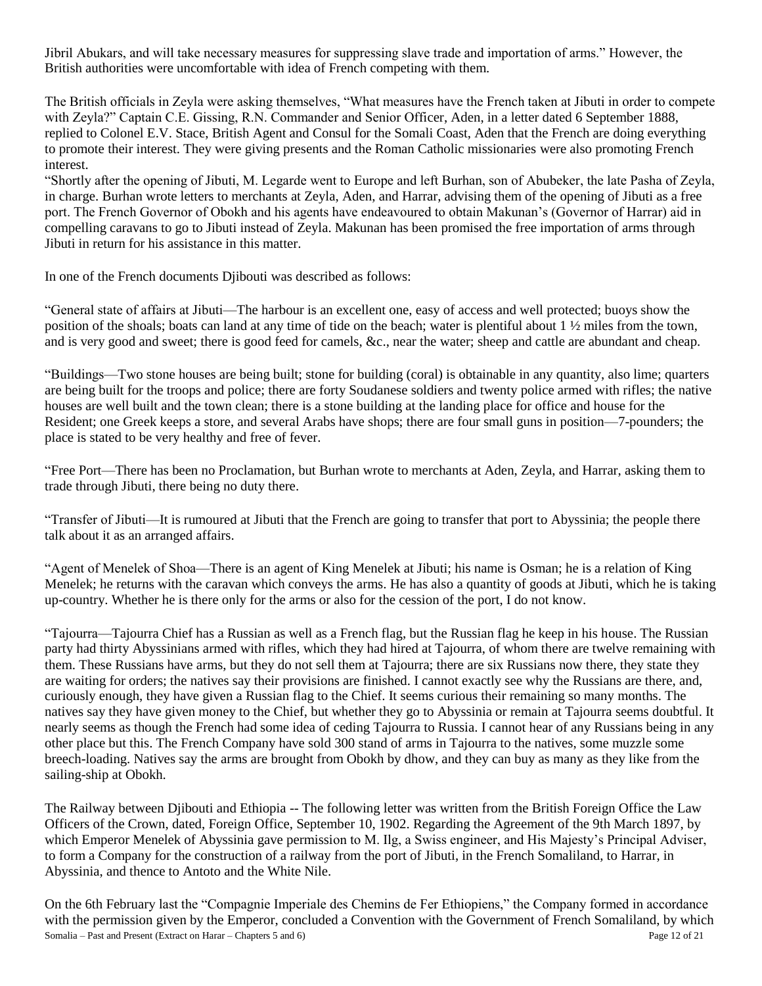Jibril Abukars, and will take necessary measures for suppressing slave trade and importation of arms.‖ However, the British authorities were uncomfortable with idea of French competing with them.

The British officials in Zeyla were asking themselves, "What measures have the French taken at Jibuti in order to compete with Zeyla?" Captain C.E. Gissing, R.N. Commander and Senior Officer, Aden, in a letter dated 6 September 1888, replied to Colonel E.V. Stace, British Agent and Consul for the Somali Coast, Aden that the French are doing everything to promote their interest. They were giving presents and the Roman Catholic missionaries were also promoting French interest.

―Shortly after the opening of Jibuti, M. Legarde went to Europe and left Burhan, son of Abubeker, the late Pasha of Zeyla, in charge. Burhan wrote letters to merchants at Zeyla, Aden, and Harrar, advising them of the opening of Jibuti as a free port. The French Governor of Obokh and his agents have endeavoured to obtain Makunan's (Governor of Harrar) aid in compelling caravans to go to Jibuti instead of Zeyla. Makunan has been promised the free importation of arms through Jibuti in return for his assistance in this matter.

In one of the French documents Djibouti was described as follows:

―General state of affairs at Jibuti—The harbour is an excellent one, easy of access and well protected; buoys show the position of the shoals; boats can land at any time of tide on the beach; water is plentiful about 1 ½ miles from the town, and is very good and sweet; there is good feed for camels, &c., near the water; sheep and cattle are abundant and cheap.

―Buildings—Two stone houses are being built; stone for building (coral) is obtainable in any quantity, also lime; quarters are being built for the troops and police; there are forty Soudanese soldiers and twenty police armed with rifles; the native houses are well built and the town clean; there is a stone building at the landing place for office and house for the Resident; one Greek keeps a store, and several Arabs have shops; there are four small guns in position—7-pounders; the place is stated to be very healthy and free of fever.

―Free Port—There has been no Proclamation, but Burhan wrote to merchants at Aden, Zeyla, and Harrar, asking them to trade through Jibuti, there being no duty there.

―Transfer of Jibuti—It is rumoured at Jibuti that the French are going to transfer that port to Abyssinia; the people there talk about it as an arranged affairs.

"Agent of Menelek of Shoa—There is an agent of King Menelek at Jibuti; his name is Osman; he is a relation of King Menelek; he returns with the caravan which conveys the arms. He has also a quantity of goods at Jibuti, which he is taking up-country. Whether he is there only for the arms or also for the cession of the port, I do not know.

―Tajourra—Tajourra Chief has a Russian as well as a French flag, but the Russian flag he keep in his house. The Russian party had thirty Abyssinians armed with rifles, which they had hired at Tajourra, of whom there are twelve remaining with them. These Russians have arms, but they do not sell them at Tajourra; there are six Russians now there, they state they are waiting for orders; the natives say their provisions are finished. I cannot exactly see why the Russians are there, and, curiously enough, they have given a Russian flag to the Chief. It seems curious their remaining so many months. The natives say they have given money to the Chief, but whether they go to Abyssinia or remain at Tajourra seems doubtful. It nearly seems as though the French had some idea of ceding Tajourra to Russia. I cannot hear of any Russians being in any other place but this. The French Company have sold 300 stand of arms in Tajourra to the natives, some muzzle some breech-loading. Natives say the arms are brought from Obokh by dhow, and they can buy as many as they like from the sailing-ship at Obokh.

The Railway between Djibouti and Ethiopia -- The following letter was written from the British Foreign Office the Law Officers of the Crown, dated, Foreign Office, September 10, 1902. Regarding the Agreement of the 9th March 1897, by which Emperor Menelek of Abyssinia gave permission to M. Ilg, a Swiss engineer, and His Majesty's Principal Adviser, to form a Company for the construction of a railway from the port of Jibuti, in the French Somaliland, to Harrar, in Abyssinia, and thence to Antoto and the White Nile.

Somalia – Past and Present (Extract on Harar – Chapters 5 and 6) Page 12 of 21 On the 6th February last the "Compagnie Imperiale des Chemins de Fer Ethiopiens," the Company formed in accordance with the permission given by the Emperor, concluded a Convention with the Government of French Somaliland, by which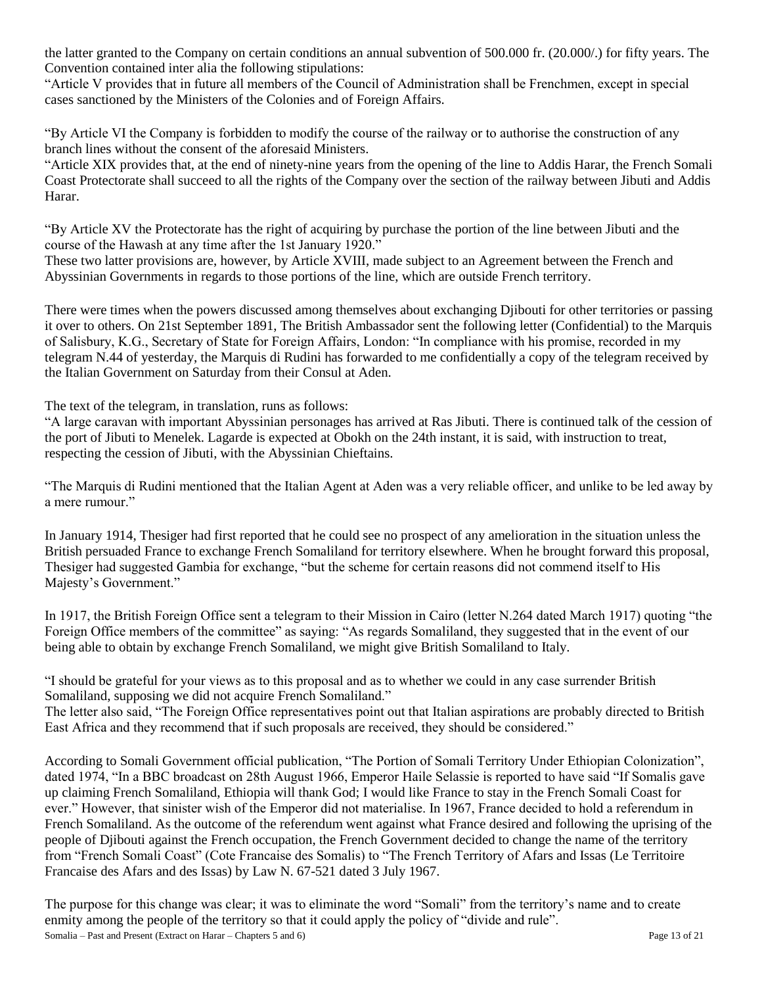the latter granted to the Company on certain conditions an annual subvention of 500.000 fr. (20.000/.) for fifty years. The Convention contained inter alia the following stipulations:

―Article V provides that in future all members of the Council of Administration shall be Frenchmen, except in special cases sanctioned by the Ministers of the Colonies and of Foreign Affairs.

―By Article VI the Company is forbidden to modify the course of the railway or to authorise the construction of any branch lines without the consent of the aforesaid Ministers.

―Article XIX provides that, at the end of ninety-nine years from the opening of the line to Addis Harar, the French Somali Coast Protectorate shall succeed to all the rights of the Company over the section of the railway between Jibuti and Addis Harar.

―By Article XV the Protectorate has the right of acquiring by purchase the portion of the line between Jibuti and the course of the Hawash at any time after the 1st January 1920."

These two latter provisions are, however, by Article XVIII, made subject to an Agreement between the French and Abyssinian Governments in regards to those portions of the line, which are outside French territory.

There were times when the powers discussed among themselves about exchanging Djibouti for other territories or passing it over to others. On 21st September 1891, The British Ambassador sent the following letter (Confidential) to the Marquis of Salisbury, K.G., Secretary of State for Foreign Affairs, London: "In compliance with his promise, recorded in my telegram N.44 of yesterday, the Marquis di Rudini has forwarded to me confidentially a copy of the telegram received by the Italian Government on Saturday from their Consul at Aden.

The text of the telegram, in translation, runs as follows:

―A large caravan with important Abyssinian personages has arrived at Ras Jibuti. There is continued talk of the cession of the port of Jibuti to Menelek. Lagarde is expected at Obokh on the 24th instant, it is said, with instruction to treat, respecting the cession of Jibuti, with the Abyssinian Chieftains.

―The Marquis di Rudini mentioned that the Italian Agent at Aden was a very reliable officer, and unlike to be led away by a mere rumour."

In January 1914, Thesiger had first reported that he could see no prospect of any amelioration in the situation unless the British persuaded France to exchange French Somaliland for territory elsewhere. When he brought forward this proposal, Thesiger had suggested Gambia for exchange, "but the scheme for certain reasons did not commend itself to His Majesty's Government."

In 1917, the British Foreign Office sent a telegram to their Mission in Cairo (letter N.264 dated March 1917) quoting "the Foreign Office members of the committee" as saying: "As regards Somaliland, they suggested that in the event of our being able to obtain by exchange French Somaliland, we might give British Somaliland to Italy.

―I should be grateful for your views as to this proposal and as to whether we could in any case surrender British Somaliland, supposing we did not acquire French Somaliland."

The letter also said, "The Foreign Office representatives point out that Italian aspirations are probably directed to British East Africa and they recommend that if such proposals are received, they should be considered."

According to Somali Government official publication, "The Portion of Somali Territory Under Ethiopian Colonization", dated 1974, "In a BBC broadcast on 28th August 1966, Emperor Haile Selassie is reported to have said "If Somalis gave up claiming French Somaliland, Ethiopia will thank God; I would like France to stay in the French Somali Coast for ever." However, that sinister wish of the Emperor did not materialise. In 1967, France decided to hold a referendum in French Somaliland. As the outcome of the referendum went against what France desired and following the uprising of the people of Djibouti against the French occupation, the French Government decided to change the name of the territory from "French Somali Coast" (Cote Francaise des Somalis) to "The French Territory of Afars and Issas (Le Territoire Francaise des Afars and des Issas) by Law N. 67-521 dated 3 July 1967.

Somalia – Past and Present (Extract on Harar – Chapters 5 and 6) Page 13 of 21 The purpose for this change was clear; it was to eliminate the word "Somali" from the territory's name and to create enmity among the people of the territory so that it could apply the policy of "divide and rule".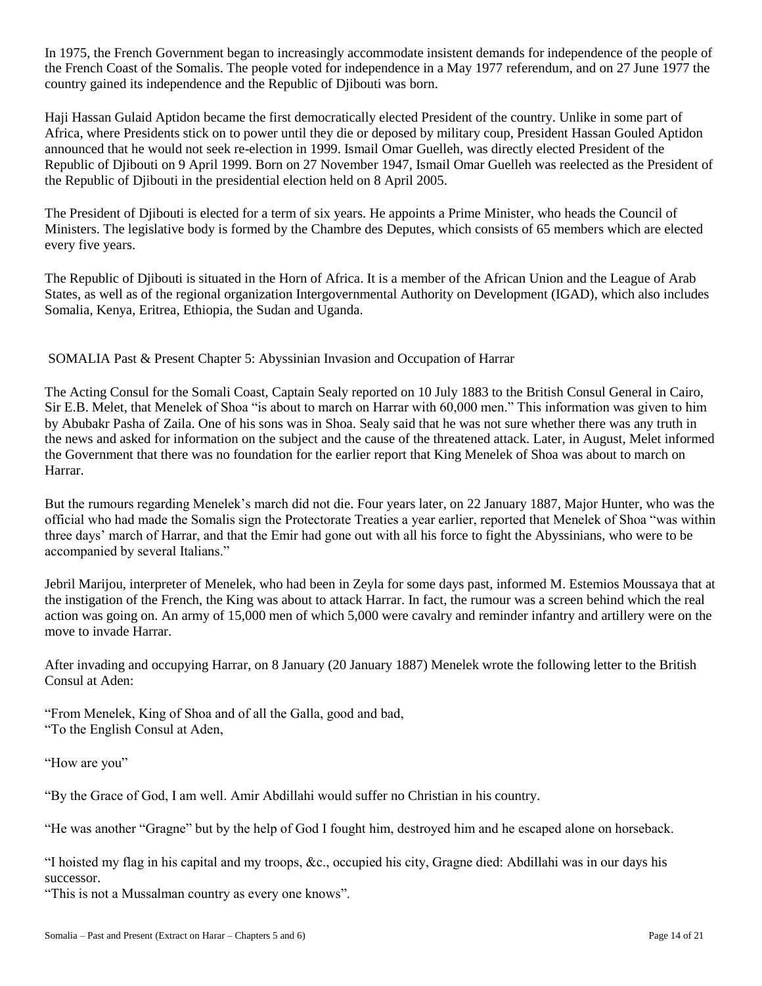In 1975, the French Government began to increasingly accommodate insistent demands for independence of the people of the French Coast of the Somalis. The people voted for independence in a May 1977 referendum, and on 27 June 1977 the country gained its independence and the Republic of Djibouti was born.

Haji Hassan Gulaid Aptidon became the first democratically elected President of the country. Unlike in some part of Africa, where Presidents stick on to power until they die or deposed by military coup, President Hassan Gouled Aptidon announced that he would not seek re-election in 1999. Ismail Omar Guelleh, was directly elected President of the Republic of Djibouti on 9 April 1999. Born on 27 November 1947, Ismail Omar Guelleh was reelected as the President of the Republic of Djibouti in the presidential election held on 8 April 2005.

The President of Djibouti is elected for a term of six years. He appoints a Prime Minister, who heads the Council of Ministers. The legislative body is formed by the Chambre des Deputes, which consists of 65 members which are elected every five years.

The Republic of Djibouti is situated in the Horn of Africa. It is a member of the African Union and the League of Arab States, as well as of the regional organization Intergovernmental Authority on Development (IGAD), which also includes Somalia, Kenya, Eritrea, Ethiopia, the Sudan and Uganda.

SOMALIA Past & Present Chapter 5: Abyssinian Invasion and Occupation of Harrar

The Acting Consul for the Somali Coast, Captain Sealy reported on 10 July 1883 to the British Consul General in Cairo, Sir E.B. Melet, that Menelek of Shoa "is about to march on Harrar with 60,000 men." This information was given to him by Abubakr Pasha of Zaila. One of his sons was in Shoa. Sealy said that he was not sure whether there was any truth in the news and asked for information on the subject and the cause of the threatened attack. Later, in August, Melet informed the Government that there was no foundation for the earlier report that King Menelek of Shoa was about to march on Harrar.

But the rumours regarding Menelek's march did not die. Four years later, on 22 January 1887, Major Hunter, who was the official who had made the Somalis sign the Protectorate Treaties a year earlier, reported that Menelek of Shoa "was within three days' march of Harrar, and that the Emir had gone out with all his force to fight the Abyssinians, who were to be accompanied by several Italians."

Jebril Marijou, interpreter of Menelek, who had been in Zeyla for some days past, informed M. Estemios Moussaya that at the instigation of the French, the King was about to attack Harrar. In fact, the rumour was a screen behind which the real action was going on. An army of 15,000 men of which 5,000 were cavalry and reminder infantry and artillery were on the move to invade Harrar.

After invading and occupying Harrar, on 8 January (20 January 1887) Menelek wrote the following letter to the British Consul at Aden:

―From Menelek, King of Shoa and of all the Galla, good and bad, ―To the English Consul at Aden,

"How are you"

―By the Grace of God, I am well. Amir Abdillahi would suffer no Christian in his country.

―He was another ―Gragne‖ but by the help of God I fought him, destroyed him and he escaped alone on horseback.

"I hoisted my flag in his capital and my troops, &c., occupied his city, Gragne died: Abdillahi was in our days his successor.

"This is not a Mussalman country as every one knows".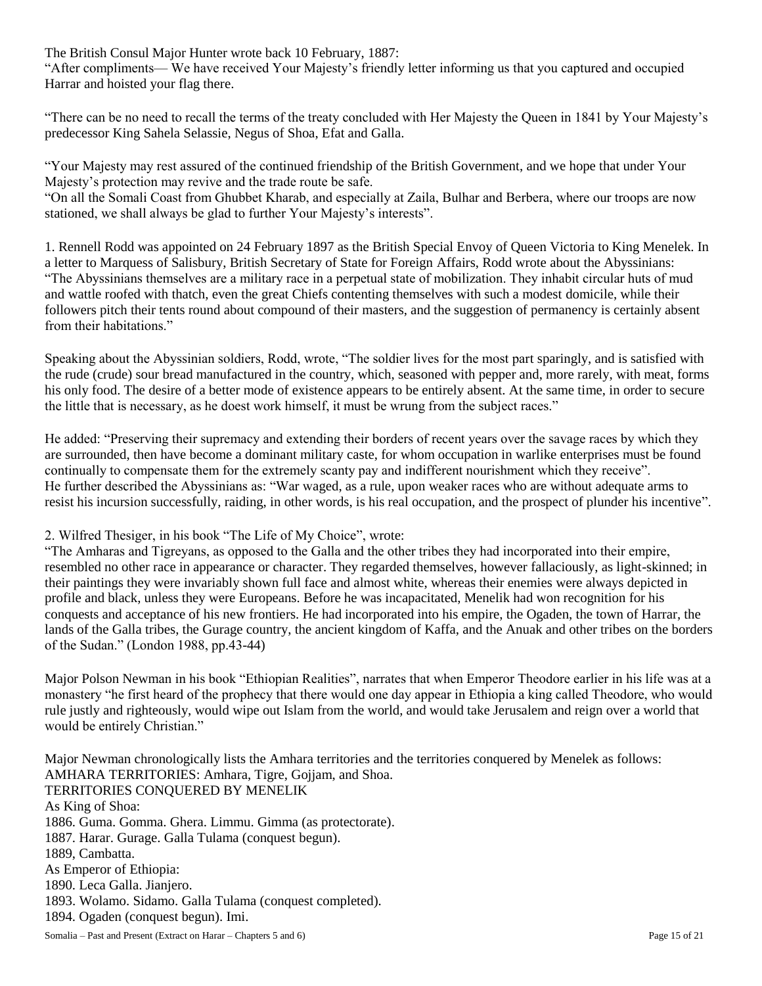The British Consul Major Hunter wrote back 10 February, 1887:

―After compliments— We have received Your Majesty's friendly letter informing us that you captured and occupied Harrar and hoisted your flag there.

―There can be no need to recall the terms of the treaty concluded with Her Majesty the Queen in 1841 by Your Majesty's predecessor King Sahela Selassie, Negus of Shoa, Efat and Galla.

―Your Majesty may rest assured of the continued friendship of the British Government, and we hope that under Your Majesty's protection may revive and the trade route be safe.

―On all the Somali Coast from Ghubbet Kharab, and especially at Zaila, Bulhar and Berbera, where our troops are now stationed, we shall always be glad to further Your Majesty's interests".

1. Rennell Rodd was appointed on 24 February 1897 as the British Special Envoy of Queen Victoria to King Menelek. In a letter to Marquess of Salisbury, British Secretary of State for Foreign Affairs, Rodd wrote about the Abyssinians: ―The Abyssinians themselves are a military race in a perpetual state of mobilization. They inhabit circular huts of mud and wattle roofed with thatch, even the great Chiefs contenting themselves with such a modest domicile, while their followers pitch their tents round about compound of their masters, and the suggestion of permanency is certainly absent from their habitations."

Speaking about the Abyssinian soldiers, Rodd, wrote, "The soldier lives for the most part sparingly, and is satisfied with the rude (crude) sour bread manufactured in the country, which, seasoned with pepper and, more rarely, with meat, forms his only food. The desire of a better mode of existence appears to be entirely absent. At the same time, in order to secure the little that is necessary, as he doest work himself, it must be wrung from the subject races."

He added: "Preserving their supremacy and extending their borders of recent years over the savage races by which they are surrounded, then have become a dominant military caste, for whom occupation in warlike enterprises must be found continually to compensate them for the extremely scanty pay and indifferent nourishment which they receive". He further described the Abyssinians as: "War waged, as a rule, upon weaker races who are without adequate arms to resist his incursion successfully, raiding, in other words, is his real occupation, and the prospect of plunder his incentive".

2. Wilfred Thesiger, in his book "The Life of My Choice", wrote:

―The Amharas and Tigreyans, as opposed to the Galla and the other tribes they had incorporated into their empire, resembled no other race in appearance or character. They regarded themselves, however fallaciously, as light-skinned; in their paintings they were invariably shown full face and almost white, whereas their enemies were always depicted in profile and black, unless they were Europeans. Before he was incapacitated, Menelik had won recognition for his conquests and acceptance of his new frontiers. He had incorporated into his empire, the Ogaden, the town of Harrar, the lands of the Galla tribes, the Gurage country, the ancient kingdom of Kaffa, and the Anuak and other tribes on the borders of the Sudan." (London 1988, pp.43-44)

Major Polson Newman in his book "Ethiopian Realities", narrates that when Emperor Theodore earlier in his life was at a monastery "he first heard of the prophecy that there would one day appear in Ethiopia a king called Theodore, who would rule justly and righteously, would wipe out Islam from the world, and would take Jerusalem and reign over a world that would be entirely Christian."

Somalia – Past and Present (Extract on Harar – Chapters 5 and 6) Page 15 of 21 Major Newman chronologically lists the Amhara territories and the territories conquered by Menelek as follows: AMHARA TERRITORIES: Amhara, Tigre, Gojjam, and Shoa. TERRITORIES CONQUERED BY MENELIK As King of Shoa: 1886. Guma. Gomma. Ghera. Limmu. Gimma (as protectorate). 1887. Harar. Gurage. Galla Tulama (conquest begun). 1889, Cambatta. As Emperor of Ethiopia: 1890. Leca Galla. Jianjero. 1893. Wolamo. Sidamo. Galla Tulama (conquest completed). 1894. Ogaden (conquest begun). Imi.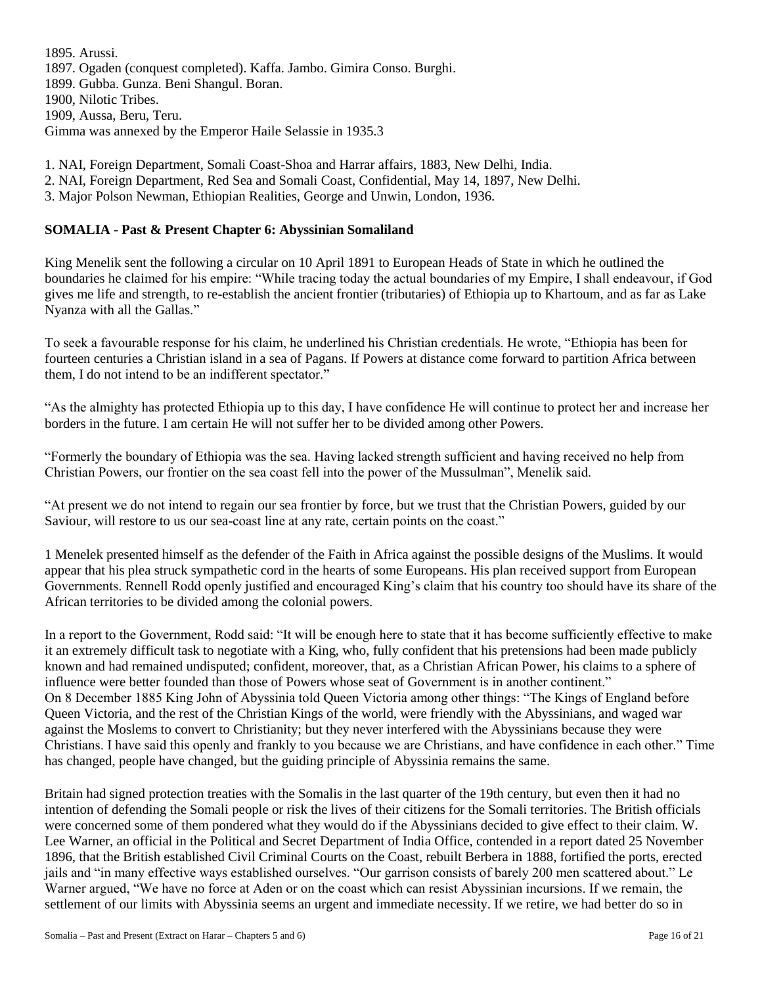1895. Arussi. 1897. Ogaden (conquest completed). Kaffa. Jambo. Gimira Conso. Burghi. 1899. Gubba. Gunza. Beni Shangul. Boran. 1900, Nilotic Tribes. 1909, Aussa, Beru, Teru. Gimma was annexed by the Emperor Haile Selassie in 1935.3

1. NAI, Foreign Department, Somali Coast-Shoa and Harrar affairs, 1883, New Delhi, India.

2. NAI, Foreign Department, Red Sea and Somali Coast, Confidential, May 14, 1897, New Delhi.

3. Major Polson Newman, Ethiopian Realities, George and Unwin, London, 1936.

### **SOMALIA - Past & Present Chapter 6: Abyssinian Somaliland**

King Menelik sent the following a circular on 10 April 1891 to European Heads of State in which he outlined the boundaries he claimed for his empire: "While tracing today the actual boundaries of my Empire, I shall endeavour, if God gives me life and strength, to re-establish the ancient frontier (tributaries) of Ethiopia up to Khartoum, and as far as Lake Nyanza with all the Gallas."

To seek a favourable response for his claim, he underlined his Christian credentials. He wrote, "Ethiopia has been for fourteen centuries a Christian island in a sea of Pagans. If Powers at distance come forward to partition Africa between them. I do not intend to be an indifferent spectator."

―As the almighty has protected Ethiopia up to this day, I have confidence He will continue to protect her and increase her borders in the future. I am certain He will not suffer her to be divided among other Powers.

―Formerly the boundary of Ethiopia was the sea. Having lacked strength sufficient and having received no help from Christian Powers, our frontier on the sea coast fell into the power of the Mussulman", Menelik said.

―At present we do not intend to regain our sea frontier by force, but we trust that the Christian Powers, guided by our Saviour, will restore to us our sea-coast line at any rate, certain points on the coast."

1 Menelek presented himself as the defender of the Faith in Africa against the possible designs of the Muslims. It would appear that his plea struck sympathetic cord in the hearts of some Europeans. His plan received support from European Governments. Rennell Rodd openly justified and encouraged King's claim that his country too should have its share of the African territories to be divided among the colonial powers.

In a report to the Government, Rodd said: "It will be enough here to state that it has become sufficiently effective to make it an extremely difficult task to negotiate with a King, who, fully confident that his pretensions had been made publicly known and had remained undisputed; confident, moreover, that, as a Christian African Power, his claims to a sphere of influence were better founded than those of Powers whose seat of Government is in another continent." On 8 December 1885 King John of Abyssinia told Queen Victoria among other things: "The Kings of England before Queen Victoria, and the rest of the Christian Kings of the world, were friendly with the Abyssinians, and waged war against the Moslems to convert to Christianity; but they never interfered with the Abyssinians because they were Christians. I have said this openly and frankly to you because we are Christians, and have confidence in each other." Time has changed, people have changed, but the guiding principle of Abyssinia remains the same.

Britain had signed protection treaties with the Somalis in the last quarter of the 19th century, but even then it had no intention of defending the Somali people or risk the lives of their citizens for the Somali territories. The British officials were concerned some of them pondered what they would do if the Abyssinians decided to give effect to their claim. W. Lee Warner, an official in the Political and Secret Department of India Office, contended in a report dated 25 November 1896, that the British established Civil Criminal Courts on the Coast, rebuilt Berbera in 1888, fortified the ports, erected jails and "in many effective ways established ourselves. "Our garrison consists of barely 200 men scattered about." Le Warner argued, "We have no force at Aden or on the coast which can resist Abyssinian incursions. If we remain, the settlement of our limits with Abyssinia seems an urgent and immediate necessity. If we retire, we had better do so in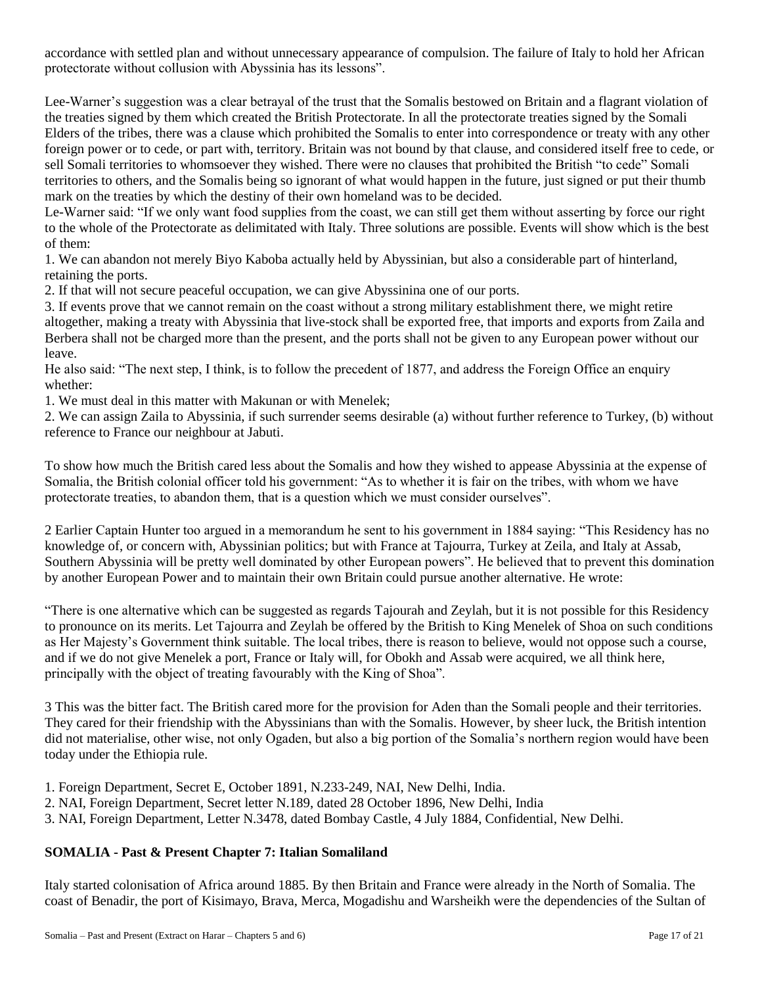accordance with settled plan and without unnecessary appearance of compulsion. The failure of Italy to hold her African protectorate without collusion with Abyssinia has its lessons".

Lee-Warner's suggestion was a clear betrayal of the trust that the Somalis bestowed on Britain and a flagrant violation of the treaties signed by them which created the British Protectorate. In all the protectorate treaties signed by the Somali Elders of the tribes, there was a clause which prohibited the Somalis to enter into correspondence or treaty with any other foreign power or to cede, or part with, territory. Britain was not bound by that clause, and considered itself free to cede, or sell Somali territories to whomsoever they wished. There were no clauses that prohibited the British "to cede" Somali territories to others, and the Somalis being so ignorant of what would happen in the future, just signed or put their thumb mark on the treaties by which the destiny of their own homeland was to be decided.

Le-Warner said: "If we only want food supplies from the coast, we can still get them without asserting by force our right to the whole of the Protectorate as delimitated with Italy. Three solutions are possible. Events will show which is the best of them:

1. We can abandon not merely Biyo Kaboba actually held by Abyssinian, but also a considerable part of hinterland, retaining the ports.

2. If that will not secure peaceful occupation, we can give Abyssinina one of our ports.

3. If events prove that we cannot remain on the coast without a strong military establishment there, we might retire altogether, making a treaty with Abyssinia that live-stock shall be exported free, that imports and exports from Zaila and Berbera shall not be charged more than the present, and the ports shall not be given to any European power without our leave.

He also said: "The next step, I think, is to follow the precedent of 1877, and address the Foreign Office an enquiry whether:

1. We must deal in this matter with Makunan or with Menelek;

2. We can assign Zaila to Abyssinia, if such surrender seems desirable (a) without further reference to Turkey, (b) without reference to France our neighbour at Jabuti.

To show how much the British cared less about the Somalis and how they wished to appease Abyssinia at the expense of Somalia, the British colonial officer told his government: "As to whether it is fair on the tribes, with whom we have protectorate treaties, to abandon them, that is a question which we must consider ourselves".

2 Earlier Captain Hunter too argued in a memorandum he sent to his government in 1884 saying: "This Residency has no knowledge of, or concern with, Abyssinian politics; but with France at Tajourra, Turkey at Zeila, and Italy at Assab, Southern Abyssinia will be pretty well dominated by other European powers". He believed that to prevent this domination by another European Power and to maintain their own Britain could pursue another alternative. He wrote:

―There is one alternative which can be suggested as regards Tajourah and Zeylah, but it is not possible for this Residency to pronounce on its merits. Let Tajourra and Zeylah be offered by the British to King Menelek of Shoa on such conditions as Her Majesty's Government think suitable. The local tribes, there is reason to believe, would not oppose such a course, and if we do not give Menelek a port, France or Italy will, for Obokh and Assab were acquired, we all think here, principally with the object of treating favourably with the King of Shoa".

3 This was the bitter fact. The British cared more for the provision for Aden than the Somali people and their territories. They cared for their friendship with the Abyssinians than with the Somalis. However, by sheer luck, the British intention did not materialise, other wise, not only Ogaden, but also a big portion of the Somalia's northern region would have been today under the Ethiopia rule.

1. Foreign Department, Secret E, October 1891, N.233-249, NAI, New Delhi, India. 2. NAI, Foreign Department, Secret letter N.189, dated 28 October 1896, New Delhi, India 3. NAI, Foreign Department, Letter N.3478, dated Bombay Castle, 4 July 1884, Confidential, New Delhi.

# **SOMALIA - Past & Present Chapter 7: Italian Somaliland**

Italy started colonisation of Africa around 1885. By then Britain and France were already in the North of Somalia. The coast of Benadir, the port of Kisimayo, Brava, Merca, Mogadishu and Warsheikh were the dependencies of the Sultan of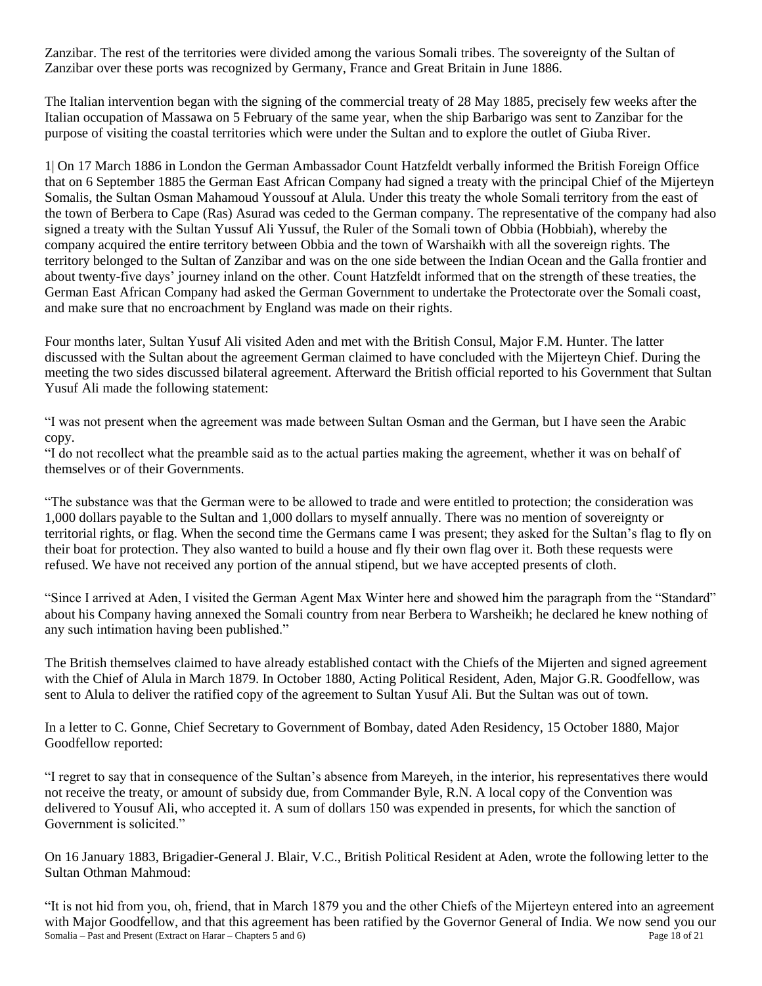Zanzibar. The rest of the territories were divided among the various Somali tribes. The sovereignty of the Sultan of Zanzibar over these ports was recognized by Germany, France and Great Britain in June 1886.

The Italian intervention began with the signing of the commercial treaty of 28 May 1885, precisely few weeks after the Italian occupation of Massawa on 5 February of the same year, when the ship Barbarigo was sent to Zanzibar for the purpose of visiting the coastal territories which were under the Sultan and to explore the outlet of Giuba River.

1| On 17 March 1886 in London the German Ambassador Count Hatzfeldt verbally informed the British Foreign Office that on 6 September 1885 the German East African Company had signed a treaty with the principal Chief of the Mijerteyn Somalis, the Sultan Osman Mahamoud Youssouf at Alula. Under this treaty the whole Somali territory from the east of the town of Berbera to Cape (Ras) Asurad was ceded to the German company. The representative of the company had also signed a treaty with the Sultan Yussuf Ali Yussuf, the Ruler of the Somali town of Obbia (Hobbiah), whereby the company acquired the entire territory between Obbia and the town of Warshaikh with all the sovereign rights. The territory belonged to the Sultan of Zanzibar and was on the one side between the Indian Ocean and the Galla frontier and about twenty-five days' journey inland on the other. Count Hatzfeldt informed that on the strength of these treaties, the German East African Company had asked the German Government to undertake the Protectorate over the Somali coast, and make sure that no encroachment by England was made on their rights.

Four months later, Sultan Yusuf Ali visited Aden and met with the British Consul, Major F.M. Hunter. The latter discussed with the Sultan about the agreement German claimed to have concluded with the Mijerteyn Chief. During the meeting the two sides discussed bilateral agreement. Afterward the British official reported to his Government that Sultan Yusuf Ali made the following statement:

―I was not present when the agreement was made between Sultan Osman and the German, but I have seen the Arabic copy.

―I do not recollect what the preamble said as to the actual parties making the agreement, whether it was on behalf of themselves or of their Governments.

―The substance was that the German were to be allowed to trade and were entitled to protection; the consideration was 1,000 dollars payable to the Sultan and 1,000 dollars to myself annually. There was no mention of sovereignty or territorial rights, or flag. When the second time the Germans came I was present; they asked for the Sultan's flag to fly on their boat for protection. They also wanted to build a house and fly their own flag over it. Both these requests were refused. We have not received any portion of the annual stipend, but we have accepted presents of cloth.

"Since I arrived at Aden, I visited the German Agent Max Winter here and showed him the paragraph from the "Standard" about his Company having annexed the Somali country from near Berbera to Warsheikh; he declared he knew nothing of any such intimation having been published."

The British themselves claimed to have already established contact with the Chiefs of the Mijerten and signed agreement with the Chief of Alula in March 1879. In October 1880, Acting Political Resident, Aden, Major G.R. Goodfellow, was sent to Alula to deliver the ratified copy of the agreement to Sultan Yusuf Ali. But the Sultan was out of town.

In a letter to C. Gonne, Chief Secretary to Government of Bombay, dated Aden Residency, 15 October 1880, Major Goodfellow reported:

―I regret to say that in consequence of the Sultan's absence from Mareyeh, in the interior, his representatives there would not receive the treaty, or amount of subsidy due, from Commander Byle, R.N. A local copy of the Convention was delivered to Yousuf Ali, who accepted it. A sum of dollars 150 was expended in presents, for which the sanction of Government is solicited."

On 16 January 1883, Brigadier-General J. Blair, V.C., British Political Resident at Aden, wrote the following letter to the Sultan Othman Mahmoud:

Somalia – Past and Present (Extract on Harar – Chapters 5 and 6) Page 18 of 21 ―It is not hid from you, oh, friend, that in March 1879 you and the other Chiefs of the Mijerteyn entered into an agreement with Major Goodfellow, and that this agreement has been ratified by the Governor General of India. We now send you our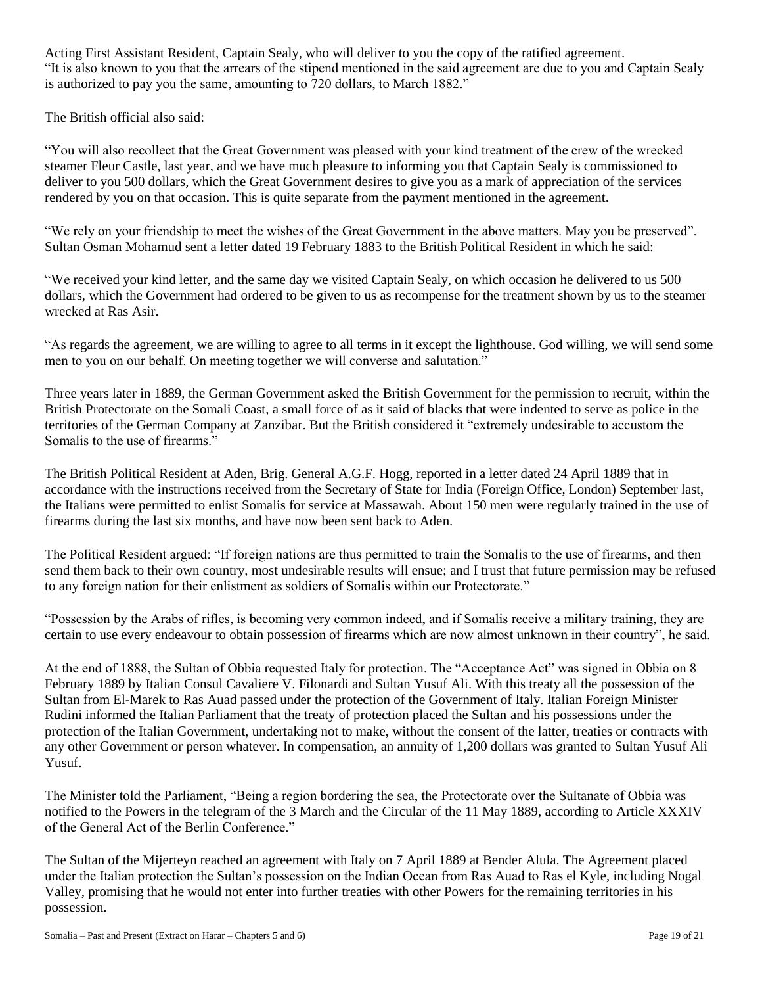Acting First Assistant Resident, Captain Sealy, who will deliver to you the copy of the ratified agreement. ―It is also known to you that the arrears of the stipend mentioned in the said agreement are due to you and Captain Sealy is authorized to pay you the same, amounting to 720 dollars, to March 1882."

The British official also said:

―You will also recollect that the Great Government was pleased with your kind treatment of the crew of the wrecked steamer Fleur Castle, last year, and we have much pleasure to informing you that Captain Sealy is commissioned to deliver to you 500 dollars, which the Great Government desires to give you as a mark of appreciation of the services rendered by you on that occasion. This is quite separate from the payment mentioned in the agreement.

"We rely on your friendship to meet the wishes of the Great Government in the above matters. May you be preserved". Sultan Osman Mohamud sent a letter dated 19 February 1883 to the British Political Resident in which he said:

"We received your kind letter, and the same day we visited Captain Sealy, on which occasion he delivered to us 500 dollars, which the Government had ordered to be given to us as recompense for the treatment shown by us to the steamer wrecked at Ras Asir.

―As regards the agreement, we are willing to agree to all terms in it except the lighthouse. God willing, we will send some men to you on our behalf. On meeting together we will converse and salutation."

Three years later in 1889, the German Government asked the British Government for the permission to recruit, within the British Protectorate on the Somali Coast, a small force of as it said of blacks that were indented to serve as police in the territories of the German Company at Zanzibar. But the British considered it "extremely undesirable to accustom the Somalis to the use of firearms."

The British Political Resident at Aden, Brig. General A.G.F. Hogg, reported in a letter dated 24 April 1889 that in accordance with the instructions received from the Secretary of State for India (Foreign Office, London) September last, the Italians were permitted to enlist Somalis for service at Massawah. About 150 men were regularly trained in the use of firearms during the last six months, and have now been sent back to Aden.

The Political Resident argued: "If foreign nations are thus permitted to train the Somalis to the use of firearms, and then send them back to their own country, most undesirable results will ensue; and I trust that future permission may be refused to any foreign nation for their enlistment as soldiers of Somalis within our Protectorate."

―Possession by the Arabs of rifles, is becoming very common indeed, and if Somalis receive a military training, they are certain to use every endeavour to obtain possession of firearms which are now almost unknown in their country", he said.

At the end of 1888, the Sultan of Obbia requested Italy for protection. The "Acceptance Act" was signed in Obbia on 8 February 1889 by Italian Consul Cavaliere V. Filonardi and Sultan Yusuf Ali. With this treaty all the possession of the Sultan from El-Marek to Ras Auad passed under the protection of the Government of Italy. Italian Foreign Minister Rudini informed the Italian Parliament that the treaty of protection placed the Sultan and his possessions under the protection of the Italian Government, undertaking not to make, without the consent of the latter, treaties or contracts with any other Government or person whatever. In compensation, an annuity of 1,200 dollars was granted to Sultan Yusuf Ali Yusuf.

The Minister told the Parliament, "Being a region bordering the sea, the Protectorate over the Sultanate of Obbia was notified to the Powers in the telegram of the 3 March and the Circular of the 11 May 1889, according to Article XXXIV of the General Act of the Berlin Conference."

The Sultan of the Mijerteyn reached an agreement with Italy on 7 April 1889 at Bender Alula. The Agreement placed under the Italian protection the Sultan's possession on the Indian Ocean from Ras Auad to Ras el Kyle, including Nogal Valley, promising that he would not enter into further treaties with other Powers for the remaining territories in his possession.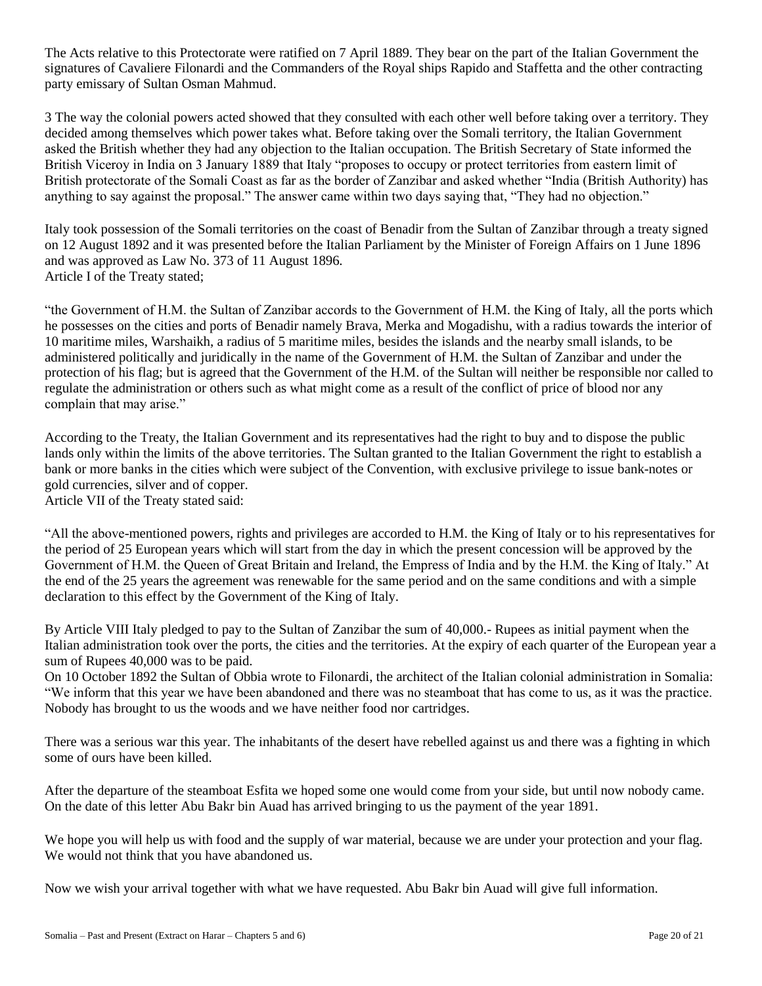The Acts relative to this Protectorate were ratified on 7 April 1889. They bear on the part of the Italian Government the signatures of Cavaliere Filonardi and the Commanders of the Royal ships Rapido and Staffetta and the other contracting party emissary of Sultan Osman Mahmud.

3 The way the colonial powers acted showed that they consulted with each other well before taking over a territory. They decided among themselves which power takes what. Before taking over the Somali territory, the Italian Government asked the British whether they had any objection to the Italian occupation. The British Secretary of State informed the British Viceroy in India on 3 January 1889 that Italy "proposes to occupy or protect territories from eastern limit of British protectorate of the Somali Coast as far as the border of Zanzibar and asked whether "India (British Authority) has anything to say against the proposal." The answer came within two days saying that, "They had no objection."

Italy took possession of the Somali territories on the coast of Benadir from the Sultan of Zanzibar through a treaty signed on 12 August 1892 and it was presented before the Italian Parliament by the Minister of Foreign Affairs on 1 June 1896 and was approved as Law No. 373 of 11 August 1896. Article I of the Treaty stated;

"the Government of H.M. the Sultan of Zanzibar accords to the Government of H.M. the King of Italy, all the ports which he possesses on the cities and ports of Benadir namely Brava, Merka and Mogadishu, with a radius towards the interior of 10 maritime miles, Warshaikh, a radius of 5 maritime miles, besides the islands and the nearby small islands, to be administered politically and juridically in the name of the Government of H.M. the Sultan of Zanzibar and under the protection of his flag; but is agreed that the Government of the H.M. of the Sultan will neither be responsible nor called to regulate the administration or others such as what might come as a result of the conflict of price of blood nor any complain that may arise."

According to the Treaty, the Italian Government and its representatives had the right to buy and to dispose the public lands only within the limits of the above territories. The Sultan granted to the Italian Government the right to establish a bank or more banks in the cities which were subject of the Convention, with exclusive privilege to issue bank-notes or gold currencies, silver and of copper.

Article VII of the Treaty stated said:

―All the above-mentioned powers, rights and privileges are accorded to H.M. the King of Italy or to his representatives for the period of 25 European years which will start from the day in which the present concession will be approved by the Government of H.M. the Queen of Great Britain and Ireland, the Empress of India and by the H.M. the King of Italy." At the end of the 25 years the agreement was renewable for the same period and on the same conditions and with a simple declaration to this effect by the Government of the King of Italy.

By Article VIII Italy pledged to pay to the Sultan of Zanzibar the sum of 40,000.- Rupees as initial payment when the Italian administration took over the ports, the cities and the territories. At the expiry of each quarter of the European year a sum of Rupees 40,000 was to be paid.

On 10 October 1892 the Sultan of Obbia wrote to Filonardi, the architect of the Italian colonial administration in Somalia: ―We inform that this year we have been abandoned and there was no steamboat that has come to us, as it was the practice. Nobody has brought to us the woods and we have neither food nor cartridges.

There was a serious war this year. The inhabitants of the desert have rebelled against us and there was a fighting in which some of ours have been killed.

After the departure of the steamboat Esfita we hoped some one would come from your side, but until now nobody came. On the date of this letter Abu Bakr bin Auad has arrived bringing to us the payment of the year 1891.

We hope you will help us with food and the supply of war material, because we are under your protection and your flag. We would not think that you have abandoned us.

Now we wish your arrival together with what we have requested. Abu Bakr bin Auad will give full information.